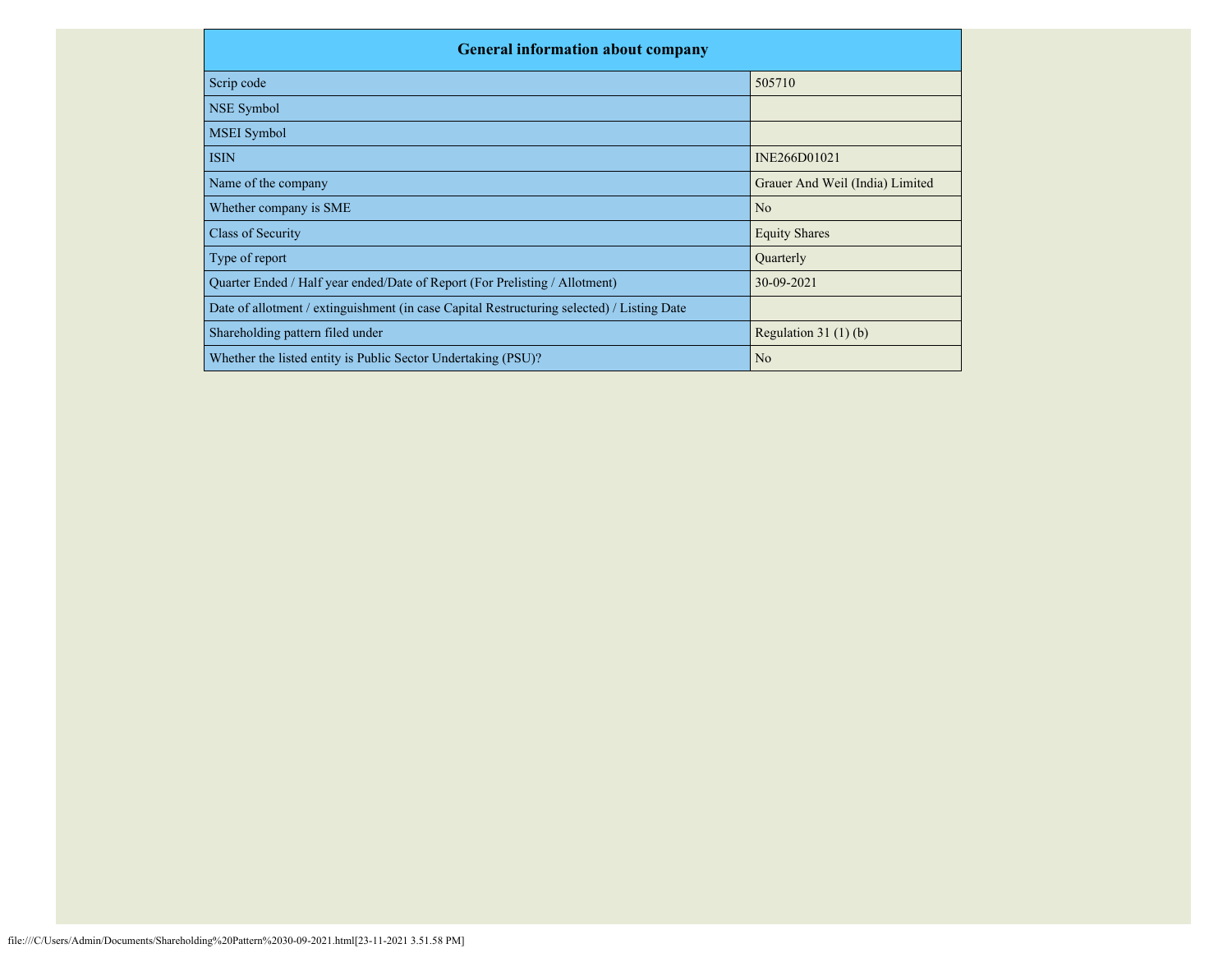| <b>General information about company</b>                                                   |                                 |  |  |  |  |  |  |  |
|--------------------------------------------------------------------------------------------|---------------------------------|--|--|--|--|--|--|--|
| Scrip code                                                                                 | 505710                          |  |  |  |  |  |  |  |
| NSE Symbol                                                                                 |                                 |  |  |  |  |  |  |  |
| <b>MSEI</b> Symbol                                                                         |                                 |  |  |  |  |  |  |  |
| <b>ISIN</b>                                                                                | INE266D01021                    |  |  |  |  |  |  |  |
| Name of the company                                                                        | Grauer And Weil (India) Limited |  |  |  |  |  |  |  |
| Whether company is SME                                                                     | N <sub>o</sub>                  |  |  |  |  |  |  |  |
| Class of Security                                                                          | <b>Equity Shares</b>            |  |  |  |  |  |  |  |
| Type of report                                                                             | Quarterly                       |  |  |  |  |  |  |  |
| Quarter Ended / Half year ended/Date of Report (For Prelisting / Allotment)                | 30-09-2021                      |  |  |  |  |  |  |  |
| Date of allotment / extinguishment (in case Capital Restructuring selected) / Listing Date |                                 |  |  |  |  |  |  |  |
| Shareholding pattern filed under                                                           | Regulation $31(1)(b)$           |  |  |  |  |  |  |  |
| Whether the listed entity is Public Sector Undertaking (PSU)?                              | N <sub>o</sub>                  |  |  |  |  |  |  |  |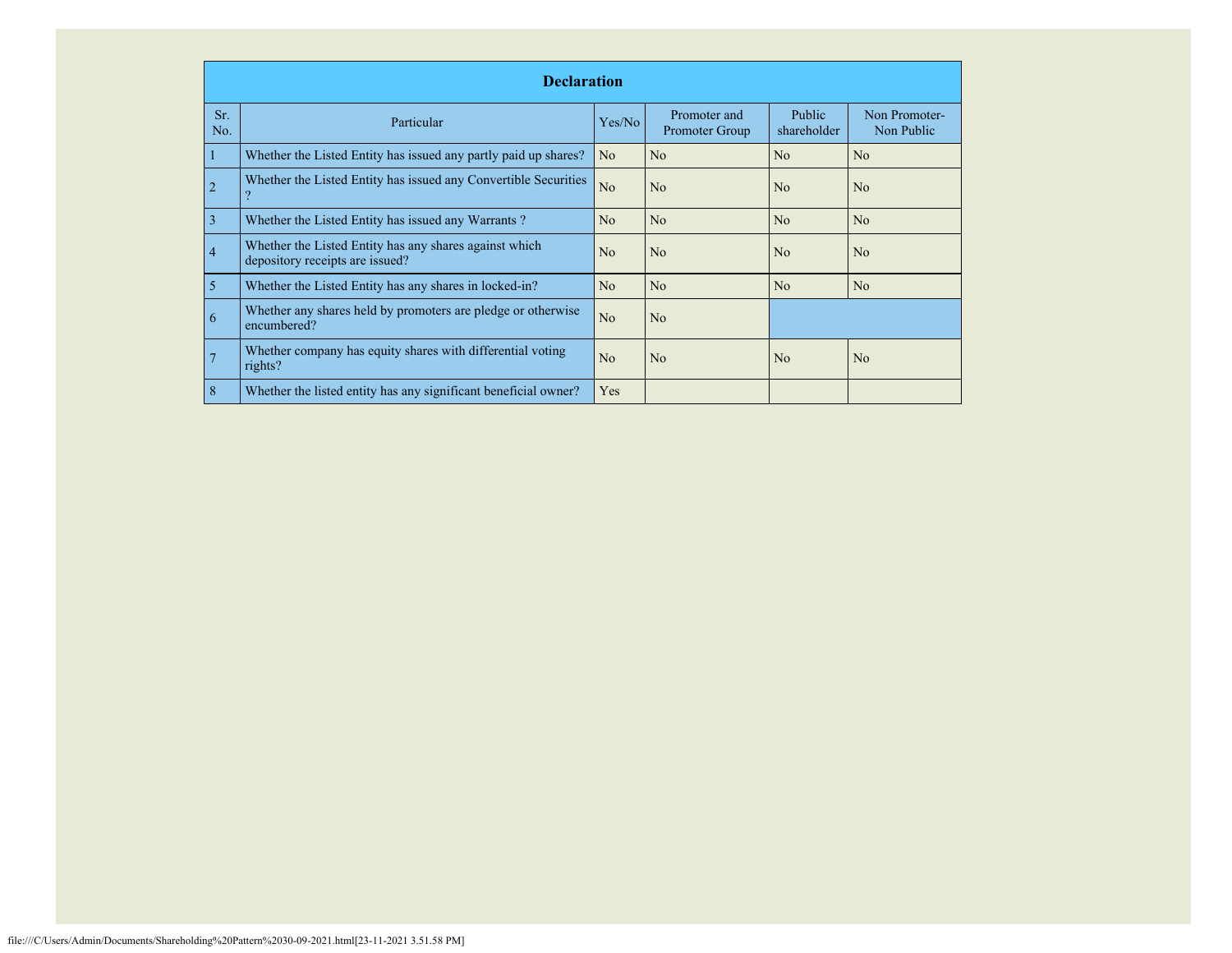|                | <b>Declaration</b>                                                                        |                |                                |                              |                             |  |  |  |  |  |
|----------------|-------------------------------------------------------------------------------------------|----------------|--------------------------------|------------------------------|-----------------------------|--|--|--|--|--|
| Sr.<br>No.     | Particular                                                                                | Yes/No         | Promoter and<br>Promoter Group | <b>Public</b><br>shareholder | Non Promoter-<br>Non Public |  |  |  |  |  |
|                | Whether the Listed Entity has issued any partly paid up shares?                           | N <sub>o</sub> | No                             | No                           | N <sub>o</sub>              |  |  |  |  |  |
| $\overline{2}$ | Whether the Listed Entity has issued any Convertible Securities                           | N <sub>o</sub> | N <sub>0</sub>                 | No                           | N <sub>o</sub>              |  |  |  |  |  |
| 3              | Whether the Listed Entity has issued any Warrants?                                        | N <sub>o</sub> | N <sub>o</sub>                 | No                           | N <sub>o</sub>              |  |  |  |  |  |
| $\overline{4}$ | Whether the Listed Entity has any shares against which<br>depository receipts are issued? | N <sub>0</sub> | N <sub>o</sub>                 | N <sub>0</sub>               | N <sub>o</sub>              |  |  |  |  |  |
| 5              | Whether the Listed Entity has any shares in locked-in?                                    | No             | No                             | No                           | N <sub>o</sub>              |  |  |  |  |  |
| 6              | Whether any shares held by promoters are pledge or otherwise<br>encumbered?               | N <sub>o</sub> | No                             |                              |                             |  |  |  |  |  |
| 7              | Whether company has equity shares with differential voting<br>rights?                     | No             | No                             | N <sub>0</sub>               | N <sub>o</sub>              |  |  |  |  |  |
| 8              | Whether the listed entity has any significant beneficial owner?                           | Yes            |                                |                              |                             |  |  |  |  |  |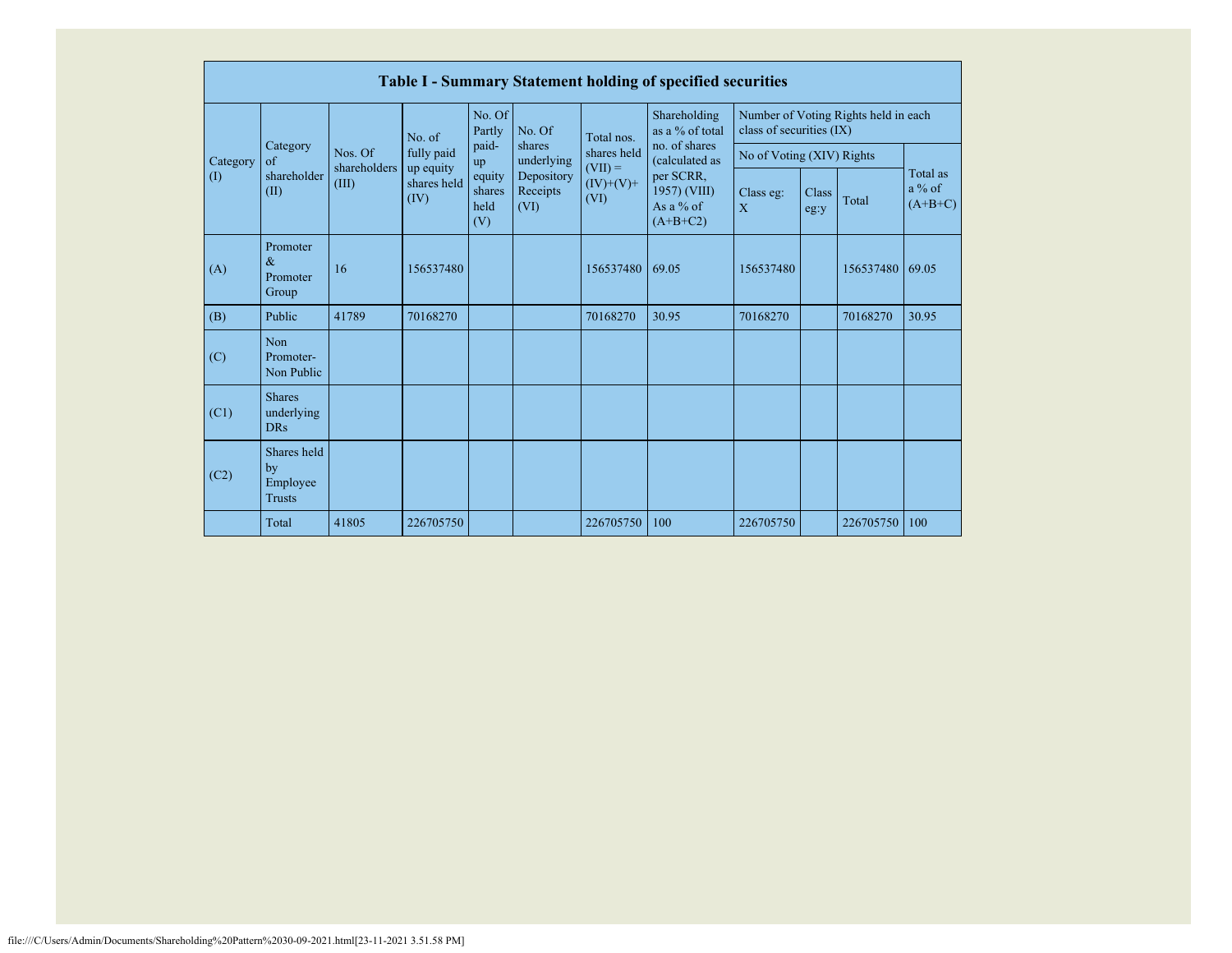|                         |                                                |                                  |                                  |                                 |                                                                  |                                                 | <b>Table I - Summary Statement holding of specified securities</b>                        |                                                                  |               |           |                                   |
|-------------------------|------------------------------------------------|----------------------------------|----------------------------------|---------------------------------|------------------------------------------------------------------|-------------------------------------------------|-------------------------------------------------------------------------------------------|------------------------------------------------------------------|---------------|-----------|-----------------------------------|
|                         | Category<br>$\sigma$ f<br>shareholder<br>(II)  | Nos. Of<br>shareholders<br>(III) | No. of                           | No. Of<br>Partly                | No. Of<br>shares<br>underlying<br>Depository<br>Receipts<br>(VI) | Total nos.                                      | Shareholding<br>as a % of total                                                           | Number of Voting Rights held in each<br>class of securities (IX) |               |           |                                   |
| Category<br>$($ $($ $)$ |                                                |                                  | fully paid                       | paid-<br>up                     |                                                                  | shares held<br>$(VII) =$<br>$(IV)+(V)+$<br>(VI) | no. of shares<br>(calculated as<br>per SCRR,<br>1957) (VIII)<br>As a $%$ of<br>$(A+B+C2)$ | No of Voting (XIV) Rights                                        |               |           |                                   |
|                         |                                                |                                  | up equity<br>shares held<br>(IV) | equity<br>shares<br>held<br>(V) |                                                                  |                                                 |                                                                                           | Class eg:<br>X                                                   | Class<br>eg:y | Total     | Total as<br>$a\%$ of<br>$(A+B+C)$ |
| (A)                     | Promoter<br>$\&$<br>Promoter<br>Group          | 16                               | 156537480                        |                                 |                                                                  | 156537480                                       | 69.05                                                                                     | 156537480                                                        |               | 156537480 | 69.05                             |
| (B)                     | Public                                         | 41789                            | 70168270                         |                                 |                                                                  | 70168270                                        | 30.95                                                                                     | 70168270                                                         |               | 70168270  | 30.95                             |
| (C)                     | <b>Non</b><br>Promoter-<br>Non Public          |                                  |                                  |                                 |                                                                  |                                                 |                                                                                           |                                                                  |               |           |                                   |
| (C1)                    | <b>Shares</b><br>underlying<br><b>DRs</b>      |                                  |                                  |                                 |                                                                  |                                                 |                                                                                           |                                                                  |               |           |                                   |
| (C2)                    | Shares held<br>by<br>Employee<br><b>Trusts</b> |                                  |                                  |                                 |                                                                  |                                                 |                                                                                           |                                                                  |               |           |                                   |
|                         | Total                                          | 41805                            | 226705750                        |                                 |                                                                  | 226705750                                       | 100                                                                                       | 226705750                                                        |               | 226705750 | 100                               |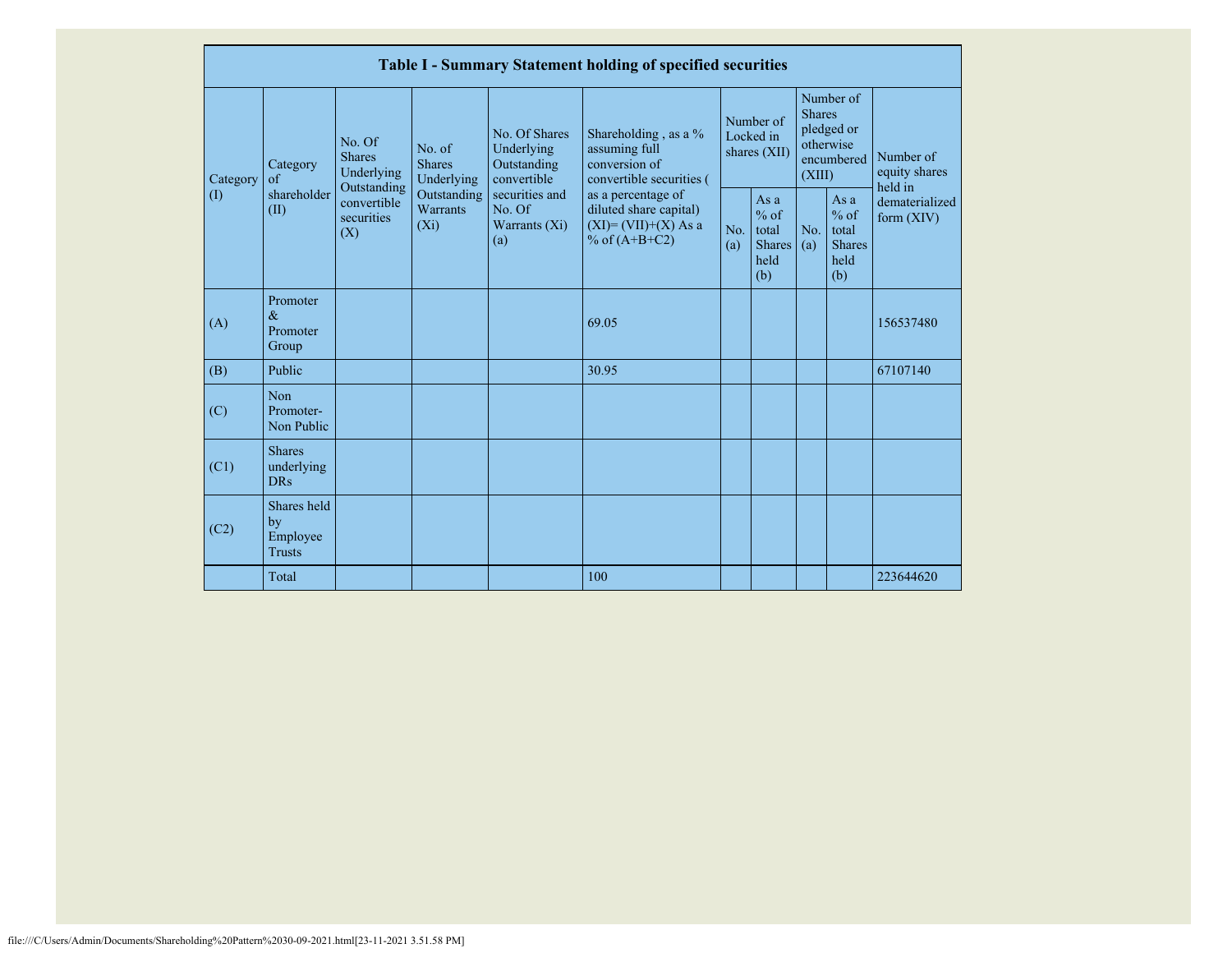|                            | Table I - Summary Statement holding of specified securities |                                                      |                                       |                                                                                                                                                  |                                                                                    |                                                    |            |                                                                               |                                |                                       |
|----------------------------|-------------------------------------------------------------|------------------------------------------------------|---------------------------------------|--------------------------------------------------------------------------------------------------------------------------------------------------|------------------------------------------------------------------------------------|----------------------------------------------------|------------|-------------------------------------------------------------------------------|--------------------------------|---------------------------------------|
| Category                   | Category<br>$\alpha$ f                                      | No. Of<br><b>Shares</b><br>Underlying<br>Outstanding | No. of<br><b>Shares</b><br>Underlying | No. Of Shares<br>Underlying<br>Outstanding<br>convertible                                                                                        | Shareholding, as a %<br>assuming full<br>conversion of<br>convertible securities ( | Number of<br>Locked in<br>shares (XII)             |            | Number of<br><b>Shares</b><br>pledged or<br>otherwise<br>encumbered<br>(XIII) |                                | Number of<br>equity shares<br>held in |
| $\left( \mathrm{I}\right)$ | shareholder<br>(II)                                         | convertible<br>securities<br>(X)                     | Outstanding<br>Warrants<br>$(X_i)$    | securities and<br>as a percentage of<br>diluted share capital)<br>No. Of<br>$(XI) = (VII)+(X) As a$<br>Warrants $(Xi)$<br>% of $(A+B+C2)$<br>(a) | No.<br>(a)                                                                         | As $a$<br>$%$ of<br>total<br>Shares<br>held<br>(b) | No.<br>(a) | As a<br>$%$ of<br>total<br>Shares<br>held<br>(b)                              | dematerialized<br>form $(XIV)$ |                                       |
| (A)                        | Promoter<br>$\&$<br>Promoter<br>Group                       |                                                      |                                       |                                                                                                                                                  | 69.05                                                                              |                                                    |            |                                                                               |                                | 156537480                             |
| (B)                        | Public                                                      |                                                      |                                       |                                                                                                                                                  | 30.95                                                                              |                                                    |            |                                                                               |                                | 67107140                              |
| (C)                        | Non<br>Promoter-<br>Non Public                              |                                                      |                                       |                                                                                                                                                  |                                                                                    |                                                    |            |                                                                               |                                |                                       |
| (C1)                       | <b>Shares</b><br>underlying<br>DR <sub>s</sub>              |                                                      |                                       |                                                                                                                                                  |                                                                                    |                                                    |            |                                                                               |                                |                                       |
| (C2)                       | Shares held<br>by<br>Employee<br><b>Trusts</b>              |                                                      |                                       |                                                                                                                                                  |                                                                                    |                                                    |            |                                                                               |                                |                                       |
|                            | Total                                                       |                                                      |                                       |                                                                                                                                                  | 100                                                                                |                                                    |            |                                                                               |                                | 223644620                             |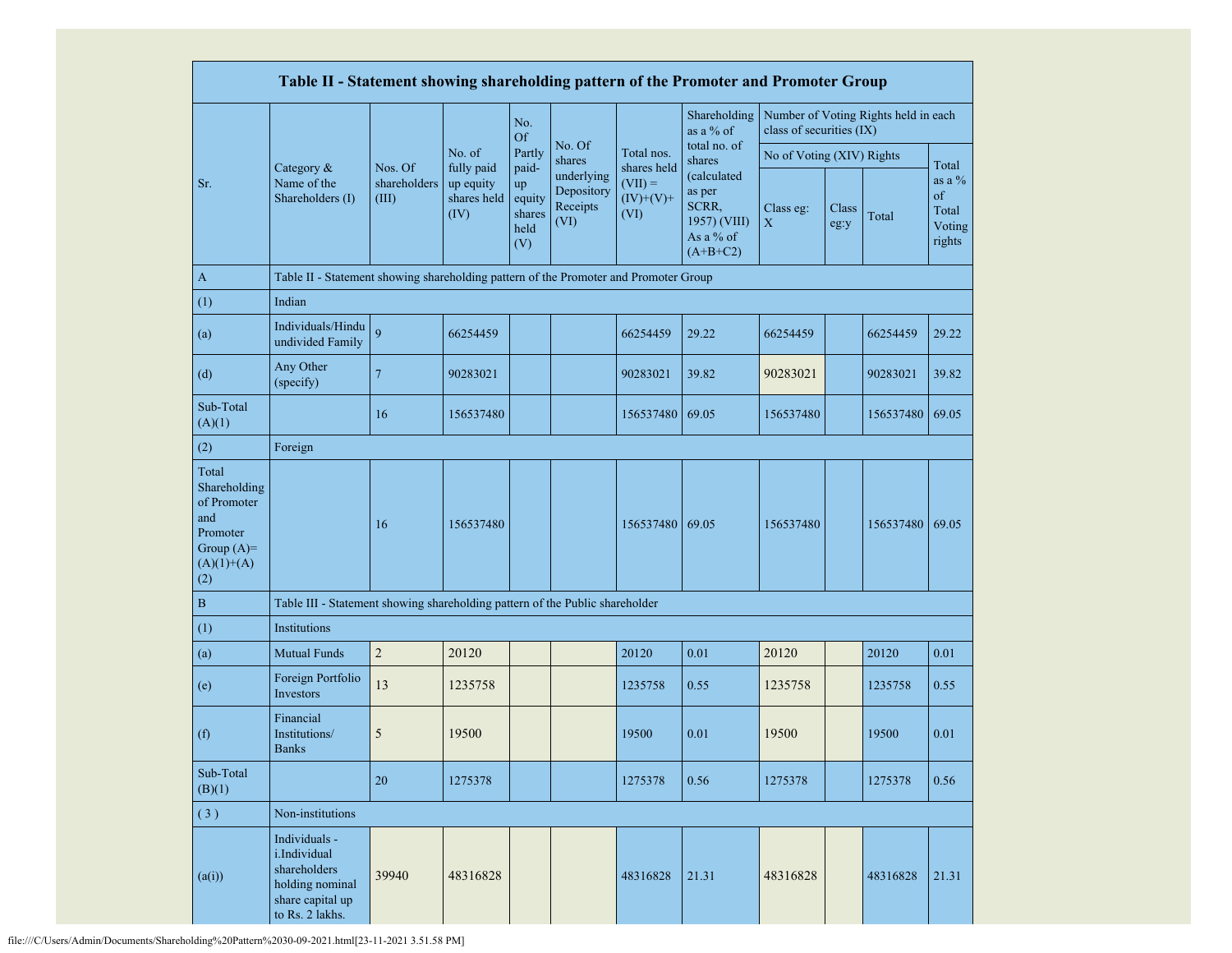|                                                                                                | Table II - Statement showing shareholding pattern of the Promoter and Promoter Group                    |                                  |                                                |                                                |                                              |                                                 |                                                                           |                           |               |                                      |                                              |
|------------------------------------------------------------------------------------------------|---------------------------------------------------------------------------------------------------------|----------------------------------|------------------------------------------------|------------------------------------------------|----------------------------------------------|-------------------------------------------------|---------------------------------------------------------------------------|---------------------------|---------------|--------------------------------------|----------------------------------------------|
|                                                                                                |                                                                                                         |                                  |                                                | No.<br><b>Of</b>                               |                                              |                                                 | Shareholding<br>as a % of                                                 | class of securities (IX)  |               | Number of Voting Rights held in each |                                              |
|                                                                                                |                                                                                                         |                                  | No. of                                         | Partly                                         | No. Of<br>shares                             | Total nos.                                      | total no. of<br>shares                                                    | No of Voting (XIV) Rights |               |                                      | Total                                        |
| Sr.                                                                                            | Category &<br>Name of the<br>Shareholders (I)                                                           | Nos. Of<br>shareholders<br>(III) | fully paid<br>up equity<br>shares held<br>(IV) | paid-<br>up<br>equity<br>shares<br>held<br>(V) | underlying<br>Depository<br>Receipts<br>(VI) | shares held<br>$(VII) =$<br>$(IV)+(V)+$<br>(VI) | (calculated<br>as per<br>SCRR,<br>1957) (VIII)<br>As a % of<br>$(A+B+C2)$ | Class eg:<br>$\mathbf X$  | Class<br>eg:y | Total                                | as a $\%$<br>of<br>Total<br>Voting<br>rights |
| $\mathbf{A}$                                                                                   | Table II - Statement showing shareholding pattern of the Promoter and Promoter Group                    |                                  |                                                |                                                |                                              |                                                 |                                                                           |                           |               |                                      |                                              |
| (1)                                                                                            | Indian                                                                                                  |                                  |                                                |                                                |                                              |                                                 |                                                                           |                           |               |                                      |                                              |
| (a)                                                                                            | Individuals/Hindu<br>undivided Family                                                                   | 9                                | 66254459                                       |                                                |                                              | 66254459                                        | 29.22                                                                     | 66254459                  |               | 66254459                             | 29.22                                        |
| (d)                                                                                            | Any Other<br>(specify)                                                                                  | $\overline{7}$                   | 90283021                                       |                                                |                                              | 90283021                                        | 39.82                                                                     | 90283021                  |               | 90283021                             | 39.82                                        |
| Sub-Total<br>(A)(1)                                                                            |                                                                                                         | 16                               | 156537480                                      |                                                |                                              | 156537480                                       | 69.05                                                                     | 156537480                 |               | 156537480                            | 69.05                                        |
| (2)                                                                                            | Foreign                                                                                                 |                                  |                                                |                                                |                                              |                                                 |                                                                           |                           |               |                                      |                                              |
| Total<br>Shareholding<br>of Promoter<br>and<br>Promoter<br>Group $(A)=$<br>$(A)(1)+(A)$<br>(2) |                                                                                                         | 16                               | 156537480                                      |                                                |                                              | 156537480 69.05                                 |                                                                           | 156537480                 |               | 156537480 69.05                      |                                              |
| $\, {\bf B}$                                                                                   | Table III - Statement showing shareholding pattern of the Public shareholder                            |                                  |                                                |                                                |                                              |                                                 |                                                                           |                           |               |                                      |                                              |
| (1)                                                                                            | Institutions                                                                                            |                                  |                                                |                                                |                                              |                                                 |                                                                           |                           |               |                                      |                                              |
| (a)                                                                                            | <b>Mutual Funds</b>                                                                                     | $\overline{2}$                   | 20120                                          |                                                |                                              | 20120                                           | 0.01                                                                      | 20120                     |               | 20120                                | 0.01                                         |
| (e)                                                                                            | Foreign Portfolio<br>Investors                                                                          | 13                               | 1235758                                        |                                                |                                              | 1235758                                         | 0.55                                                                      | 1235758                   |               | 1235758                              | 0.55                                         |
| (f)                                                                                            | Financial<br>Institutions/<br><b>Banks</b>                                                              | 5                                | 19500                                          |                                                |                                              | 19500                                           | 0.01                                                                      | 19500                     |               | 19500                                | 0.01                                         |
| Sub-Total<br>(B)(1)                                                                            |                                                                                                         | 20                               | 1275378                                        |                                                |                                              | 1275378                                         | 0.56                                                                      | 1275378                   |               | 1275378                              | 0.56                                         |
| (3)                                                                                            | Non-institutions                                                                                        |                                  |                                                |                                                |                                              |                                                 |                                                                           |                           |               |                                      |                                              |
| (a(i))                                                                                         | Individuals -<br>i.Individual<br>shareholders<br>holding nominal<br>share capital up<br>to Rs. 2 lakhs. | 39940                            | 48316828                                       |                                                |                                              | 48316828                                        | 21.31                                                                     | 48316828                  |               | 48316828                             | 21.31                                        |

file:///C/Users/Admin/Documents/Shareholding%20Pattern%2030-09-2021.html[23-11-2021 3.51.58 PM]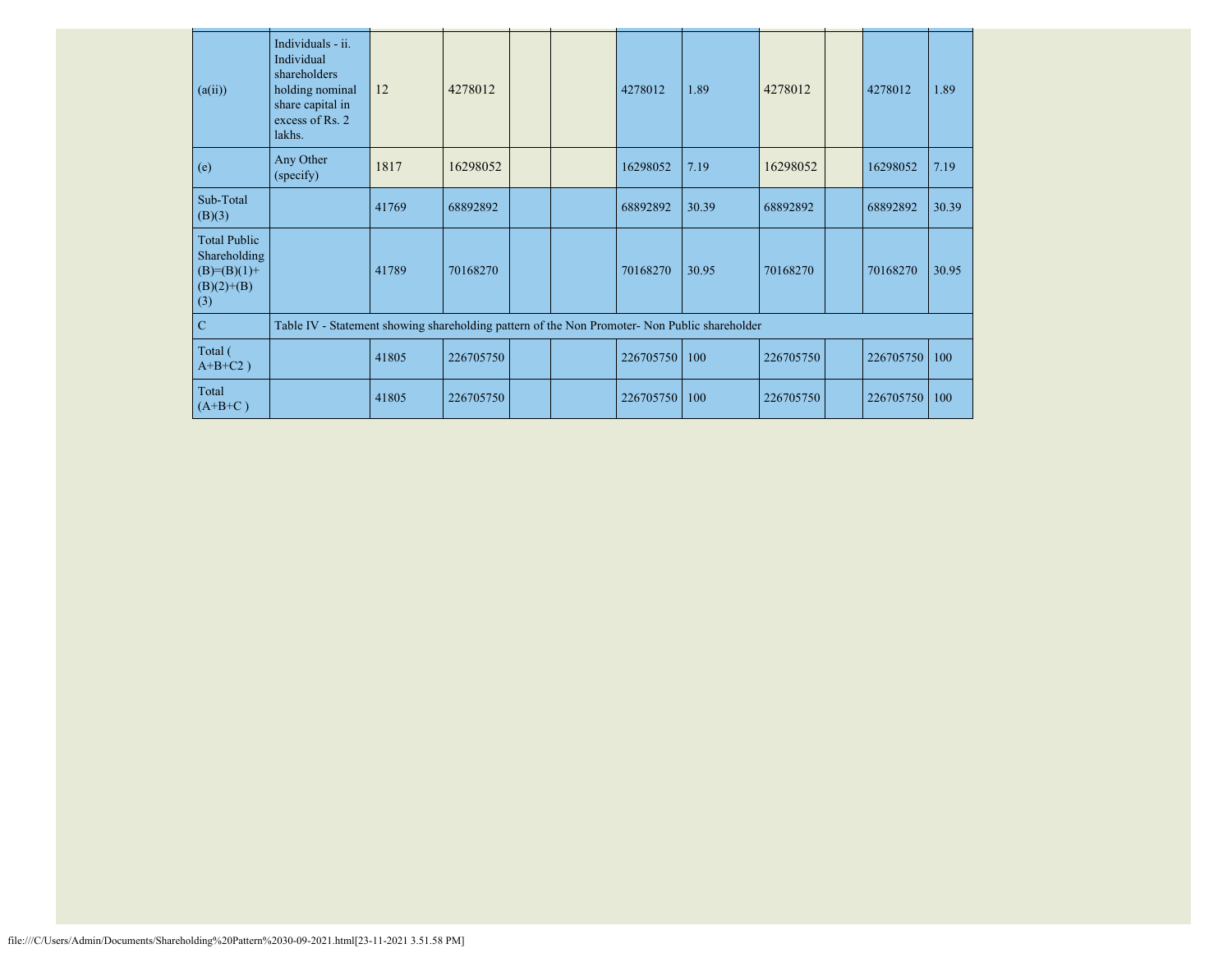| (a(ii))                                                                       | Individuals - ii.<br>Individual<br>shareholders<br>holding nominal<br>share capital in<br>excess of Rs. 2<br>lakhs. | 12    | 4278012   |  | 4278012   | 1.89  | 4278012   | 4278012   | 1.89  |
|-------------------------------------------------------------------------------|---------------------------------------------------------------------------------------------------------------------|-------|-----------|--|-----------|-------|-----------|-----------|-------|
| (e)                                                                           | Any Other<br>(specify)                                                                                              | 1817  | 16298052  |  | 16298052  | 7.19  | 16298052  | 16298052  | 7.19  |
| Sub-Total<br>(B)(3)                                                           |                                                                                                                     | 41769 | 68892892  |  | 68892892  | 30.39 | 68892892  | 68892892  | 30.39 |
| <b>Total Public</b><br>Shareholding<br>$(B)= (B)(1) +$<br>$(B)(2)+(B)$<br>(3) |                                                                                                                     | 41789 | 70168270  |  | 70168270  | 30.95 | 70168270  | 70168270  | 30.95 |
| $\mathbf C$                                                                   | Table IV - Statement showing shareholding pattern of the Non Promoter- Non Public shareholder                       |       |           |  |           |       |           |           |       |
| Total (<br>$A+B+C2$ )                                                         |                                                                                                                     | 41805 | 226705750 |  | 226705750 | 100   | 226705750 | 226705750 | 100   |
| Total<br>$(A+B+C)$                                                            |                                                                                                                     | 41805 | 226705750 |  | 226705750 | 100   | 226705750 | 226705750 | 100   |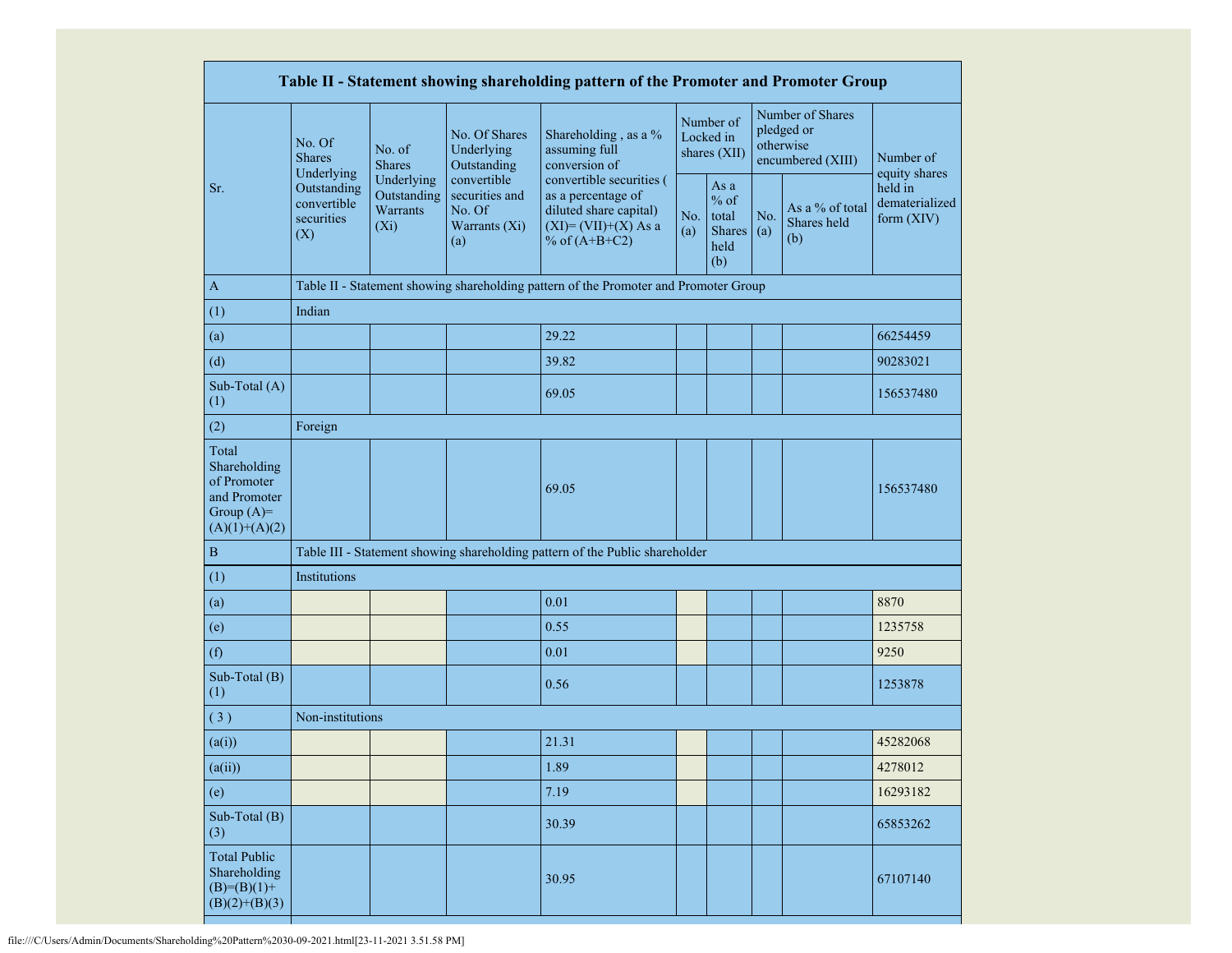|                                                                                         |                                                 |                                                  |                                                                 | Table II - Statement showing shareholding pattern of the Promoter and Promoter Group                                 |            |                                                         |            |                                                                  |                                         |
|-----------------------------------------------------------------------------------------|-------------------------------------------------|--------------------------------------------------|-----------------------------------------------------------------|----------------------------------------------------------------------------------------------------------------------|------------|---------------------------------------------------------|------------|------------------------------------------------------------------|-----------------------------------------|
|                                                                                         | No. Of<br><b>Shares</b><br>Underlying           | No. of<br><b>Shares</b>                          | No. Of Shares<br>Underlying<br>Outstanding                      | Shareholding, as a %<br>assuming full<br>conversion of                                                               |            | Number of<br>Locked in<br>shares (XII)                  |            | Number of Shares<br>pledged or<br>otherwise<br>encumbered (XIII) | Number of<br>equity shares              |
| Sr.                                                                                     | Outstanding<br>convertible<br>securities<br>(X) | Underlying<br>Outstanding<br>Warrants<br>$(X_i)$ | convertible<br>securities and<br>No. Of<br>Warrants (Xi)<br>(a) | convertible securities (<br>as a percentage of<br>diluted share capital)<br>$(XI)=(VII)+(X) As a$<br>% of $(A+B+C2)$ | No.<br>(a) | As a<br>$%$ of<br>total<br><b>Shares</b><br>held<br>(b) | No.<br>(a) | As a % of total<br>Shares held<br>(b)                            | held in<br>dematerialized<br>form (XIV) |
| $\mathbf{A}$                                                                            |                                                 |                                                  |                                                                 | Table II - Statement showing shareholding pattern of the Promoter and Promoter Group                                 |            |                                                         |            |                                                                  |                                         |
| (1)                                                                                     | Indian                                          |                                                  |                                                                 |                                                                                                                      |            |                                                         |            |                                                                  |                                         |
| (a)                                                                                     |                                                 |                                                  |                                                                 | 29.22                                                                                                                |            |                                                         |            |                                                                  | 66254459                                |
| (d)                                                                                     |                                                 |                                                  |                                                                 | 39.82                                                                                                                |            |                                                         |            |                                                                  | 90283021                                |
| Sub-Total (A)<br>(1)                                                                    |                                                 |                                                  |                                                                 | 69.05                                                                                                                |            |                                                         |            |                                                                  | 156537480                               |
| (2)                                                                                     | Foreign                                         |                                                  |                                                                 |                                                                                                                      |            |                                                         |            |                                                                  |                                         |
| Total<br>Shareholding<br>of Promoter<br>and Promoter<br>Group $(A)=$<br>$(A)(1)+(A)(2)$ |                                                 |                                                  |                                                                 | 69.05                                                                                                                |            |                                                         |            |                                                                  | 156537480                               |
| $\, {\bf B}$                                                                            |                                                 |                                                  |                                                                 | Table III - Statement showing shareholding pattern of the Public shareholder                                         |            |                                                         |            |                                                                  |                                         |
| (1)                                                                                     | Institutions                                    |                                                  |                                                                 |                                                                                                                      |            |                                                         |            |                                                                  |                                         |
| (a)                                                                                     |                                                 |                                                  |                                                                 | 0.01                                                                                                                 |            |                                                         |            |                                                                  | 8870                                    |
| (e)                                                                                     |                                                 |                                                  |                                                                 | 0.55                                                                                                                 |            |                                                         |            |                                                                  | 1235758                                 |
| (f)                                                                                     |                                                 |                                                  |                                                                 | 0.01                                                                                                                 |            |                                                         |            |                                                                  | 9250                                    |
| Sub-Total (B)<br>(1)                                                                    |                                                 |                                                  |                                                                 | 0.56                                                                                                                 |            |                                                         |            |                                                                  | 1253878                                 |
| (3)                                                                                     | Non-institutions                                |                                                  |                                                                 |                                                                                                                      |            |                                                         |            |                                                                  |                                         |
| (a(i))                                                                                  |                                                 |                                                  |                                                                 | 21.31                                                                                                                |            |                                                         |            |                                                                  | 45282068                                |
| (a(ii))                                                                                 |                                                 |                                                  |                                                                 | 1.89                                                                                                                 |            |                                                         |            |                                                                  | 4278012                                 |
| (e)                                                                                     |                                                 |                                                  |                                                                 | 7.19                                                                                                                 |            |                                                         |            |                                                                  | 16293182                                |
| Sub-Total (B)<br>(3)                                                                    |                                                 |                                                  |                                                                 | 30.39                                                                                                                |            |                                                         |            |                                                                  | 65853262                                |
| <b>Total Public</b><br>Shareholding<br>$(B)=(B)(1)+$<br>$(B)(2)+(B)(3)$                 |                                                 |                                                  |                                                                 | 30.95                                                                                                                |            |                                                         |            |                                                                  | 67107140                                |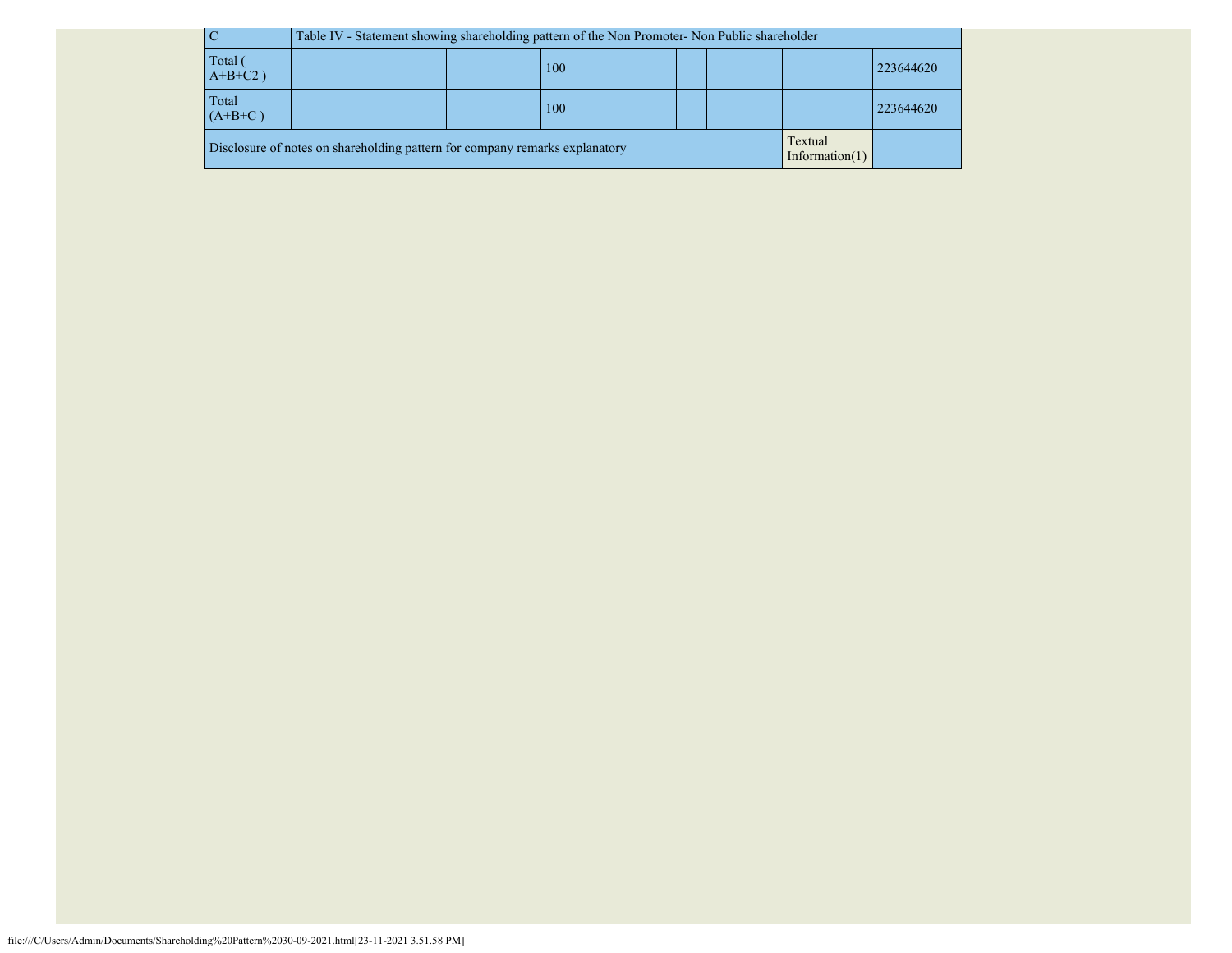| $\overline{C}$                                                                                              | Table IV - Statement showing shareholding pattern of the Non Promoter- Non Public shareholder |  |  |  |  |  |  |  |  |
|-------------------------------------------------------------------------------------------------------------|-----------------------------------------------------------------------------------------------|--|--|--|--|--|--|--|--|
| Total                                                                                                       | 223644620                                                                                     |  |  |  |  |  |  |  |  |
| $A+B+C2$ )                                                                                                  | 100                                                                                           |  |  |  |  |  |  |  |  |
| Total                                                                                                       | 100                                                                                           |  |  |  |  |  |  |  |  |
| $(A+B+C)$                                                                                                   | 223644620                                                                                     |  |  |  |  |  |  |  |  |
| Textual<br>Disclosure of notes on shareholding pattern for company remarks explanatory<br>Information $(1)$ |                                                                                               |  |  |  |  |  |  |  |  |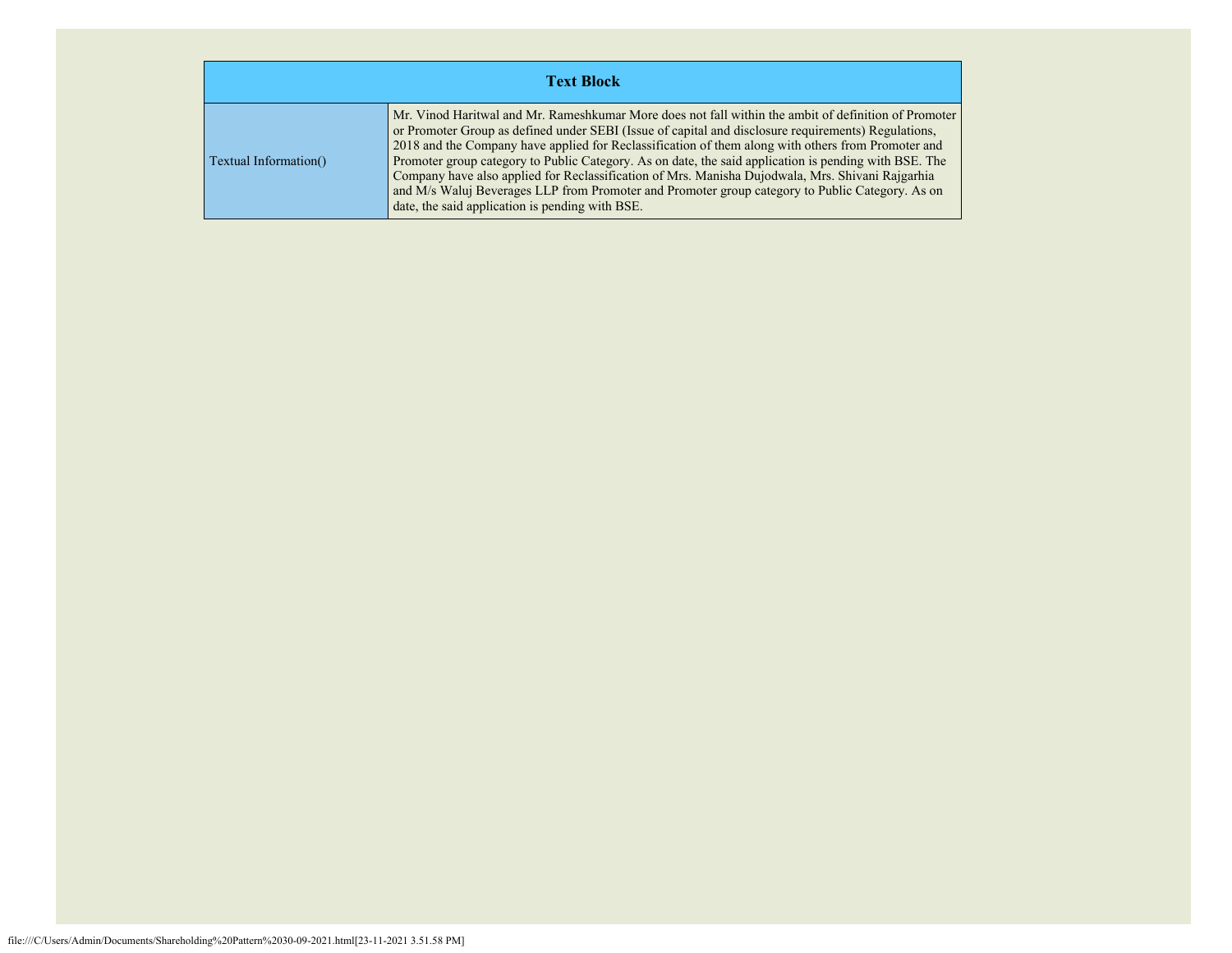| <b>Text Block</b>     |                                                                                                                                                                                                                                                                                                                                                                                                                                                                                                                                                                                                                                                                                      |  |  |  |  |  |  |  |
|-----------------------|--------------------------------------------------------------------------------------------------------------------------------------------------------------------------------------------------------------------------------------------------------------------------------------------------------------------------------------------------------------------------------------------------------------------------------------------------------------------------------------------------------------------------------------------------------------------------------------------------------------------------------------------------------------------------------------|--|--|--|--|--|--|--|
| Textual Information() | Mr. Vinod Haritwal and Mr. Rameshkumar More does not fall within the ambit of definition of Promoter<br>or Promoter Group as defined under SEBI (Issue of capital and disclosure requirements) Regulations,<br>2018 and the Company have applied for Reclassification of them along with others from Promoter and<br>Promoter group category to Public Category. As on date, the said application is pending with BSE. The<br>Company have also applied for Reclassification of Mrs. Manisha Dujodwala, Mrs. Shivani Rajgarhia<br>and M/s Waluj Beverages LLP from Promoter and Promoter group category to Public Category. As on<br>date, the said application is pending with BSE. |  |  |  |  |  |  |  |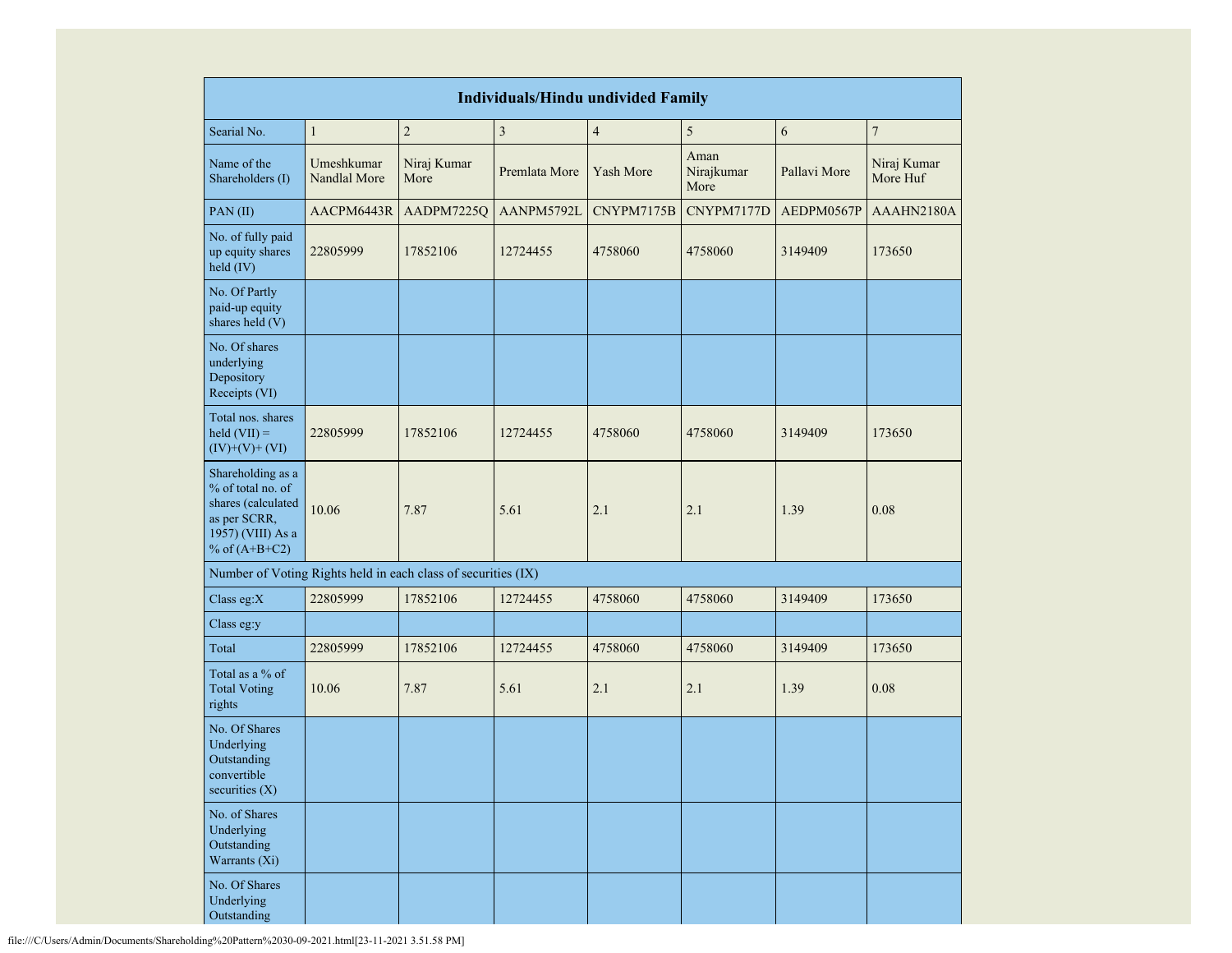| <b>Individuals/Hindu undivided Family</b>                                                                            |                            |                     |               |                |                            |              |                         |  |  |
|----------------------------------------------------------------------------------------------------------------------|----------------------------|---------------------|---------------|----------------|----------------------------|--------------|-------------------------|--|--|
| Searial No.                                                                                                          | $\mathbf{1}$               | $\overline{c}$      | $\mathfrak z$ | $\overline{4}$ | 5                          | 6            | $\boldsymbol{7}$        |  |  |
| Name of the<br>Shareholders (I)                                                                                      | Umeshkumar<br>Nandlal More | Niraj Kumar<br>More | Premlata More | Yash More      | Aman<br>Nirajkumar<br>More | Pallavi More | Niraj Kumar<br>More Huf |  |  |
| PAN(II)                                                                                                              | AACPM6443R                 | AADPM7225Q          | AANPM5792L    | CNYPM7175B     | CNYPM7177D                 | AEDPM0567P   | AAAHN2180A              |  |  |
| No. of fully paid<br>up equity shares<br>held (IV)                                                                   | 22805999                   | 17852106            | 12724455      | 4758060        | 4758060                    | 3149409      | 173650                  |  |  |
| No. Of Partly<br>paid-up equity<br>shares held (V)                                                                   |                            |                     |               |                |                            |              |                         |  |  |
| No. Of shares<br>underlying<br>Depository<br>Receipts (VI)                                                           |                            |                     |               |                |                            |              |                         |  |  |
| Total nos. shares<br>held $(VII) =$<br>$(IV)+(V)+(VI)$                                                               | 22805999                   | 17852106            | 12724455      | 4758060        | 4758060                    | 3149409      | 173650                  |  |  |
| Shareholding as a<br>% of total no. of<br>shares (calculated<br>as per SCRR,<br>1957) (VIII) As a<br>% of $(A+B+C2)$ | 10.06                      | 7.87                | 5.61          | 2.1            | 2.1                        | 1.39         | 0.08                    |  |  |
| Number of Voting Rights held in each class of securities (IX)                                                        |                            |                     |               |                |                            |              |                         |  |  |
| Class eg: $X$                                                                                                        | 22805999                   | 17852106            | 12724455      | 4758060        | 4758060                    | 3149409      | 173650                  |  |  |
| Class eg:y                                                                                                           |                            |                     |               |                |                            |              |                         |  |  |
| Total                                                                                                                | 22805999                   | 17852106            | 12724455      | 4758060        | 4758060                    | 3149409      | 173650                  |  |  |
| Total as a % of<br><b>Total Voting</b><br>rights                                                                     | 10.06                      | 7.87                | 5.61          | 2.1            | 2.1                        | 1.39         | 0.08                    |  |  |
| No. Of Shares<br>Underlying<br>Outstanding<br>convertible<br>securities (X)                                          |                            |                     |               |                |                            |              |                         |  |  |
| No. of Shares<br>Underlying<br>Outstanding<br>Warrants (Xi)                                                          |                            |                     |               |                |                            |              |                         |  |  |
| No. Of Shares<br>Underlying<br>Outstanding                                                                           |                            |                     |               |                |                            |              |                         |  |  |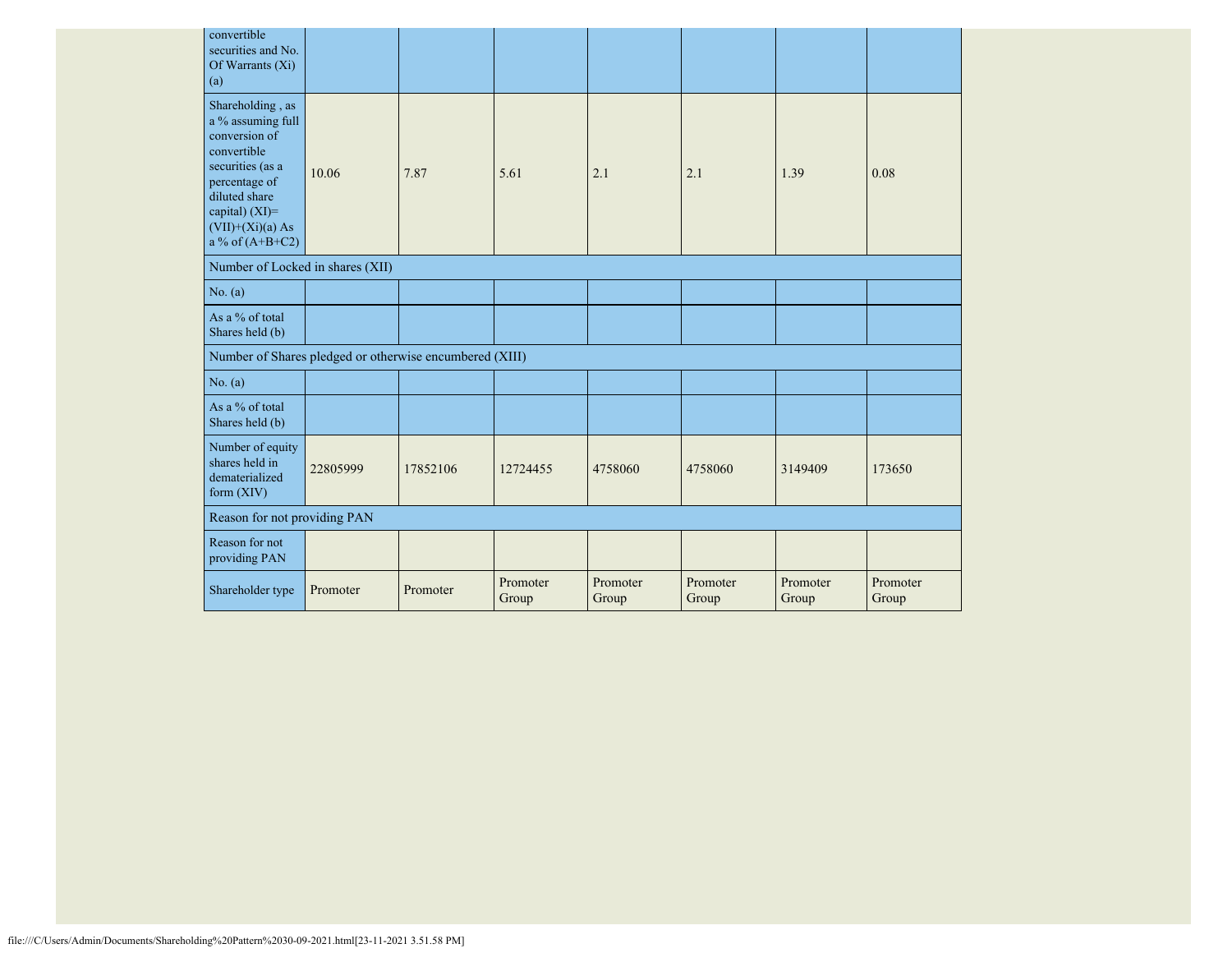| convertible<br>securities and No.<br>Of Warrants $(X_i)$<br>(a)                                                                                                                               |          |          |                   |                   |                   |                   |                   |
|-----------------------------------------------------------------------------------------------------------------------------------------------------------------------------------------------|----------|----------|-------------------|-------------------|-------------------|-------------------|-------------------|
| Shareholding, as<br>a $\%$ assuming full<br>conversion of<br>convertible<br>securities (as a<br>percentage of<br>diluted share<br>capital) $(XI)=$<br>$(VII)+(Xi)(a)$ As<br>a % of $(A+B+C2)$ | 10.06    | 7.87     | 5.61              | 2.1               | 2.1               | 1.39              | 0.08              |
| Number of Locked in shares (XII)                                                                                                                                                              |          |          |                   |                   |                   |                   |                   |
| No. (a)                                                                                                                                                                                       |          |          |                   |                   |                   |                   |                   |
| As a % of total<br>Shares held (b)                                                                                                                                                            |          |          |                   |                   |                   |                   |                   |
| Number of Shares pledged or otherwise encumbered (XIII)                                                                                                                                       |          |          |                   |                   |                   |                   |                   |
| No. (a)                                                                                                                                                                                       |          |          |                   |                   |                   |                   |                   |
| As a % of total<br>Shares held (b)                                                                                                                                                            |          |          |                   |                   |                   |                   |                   |
| Number of equity<br>shares held in<br>dematerialized<br>form (XIV)                                                                                                                            | 22805999 | 17852106 | 12724455          | 4758060           | 4758060           | 3149409           | 173650            |
| Reason for not providing PAN                                                                                                                                                                  |          |          |                   |                   |                   |                   |                   |
| Reason for not<br>providing PAN                                                                                                                                                               |          |          |                   |                   |                   |                   |                   |
| Shareholder type                                                                                                                                                                              | Promoter | Promoter | Promoter<br>Group | Promoter<br>Group | Promoter<br>Group | Promoter<br>Group | Promoter<br>Group |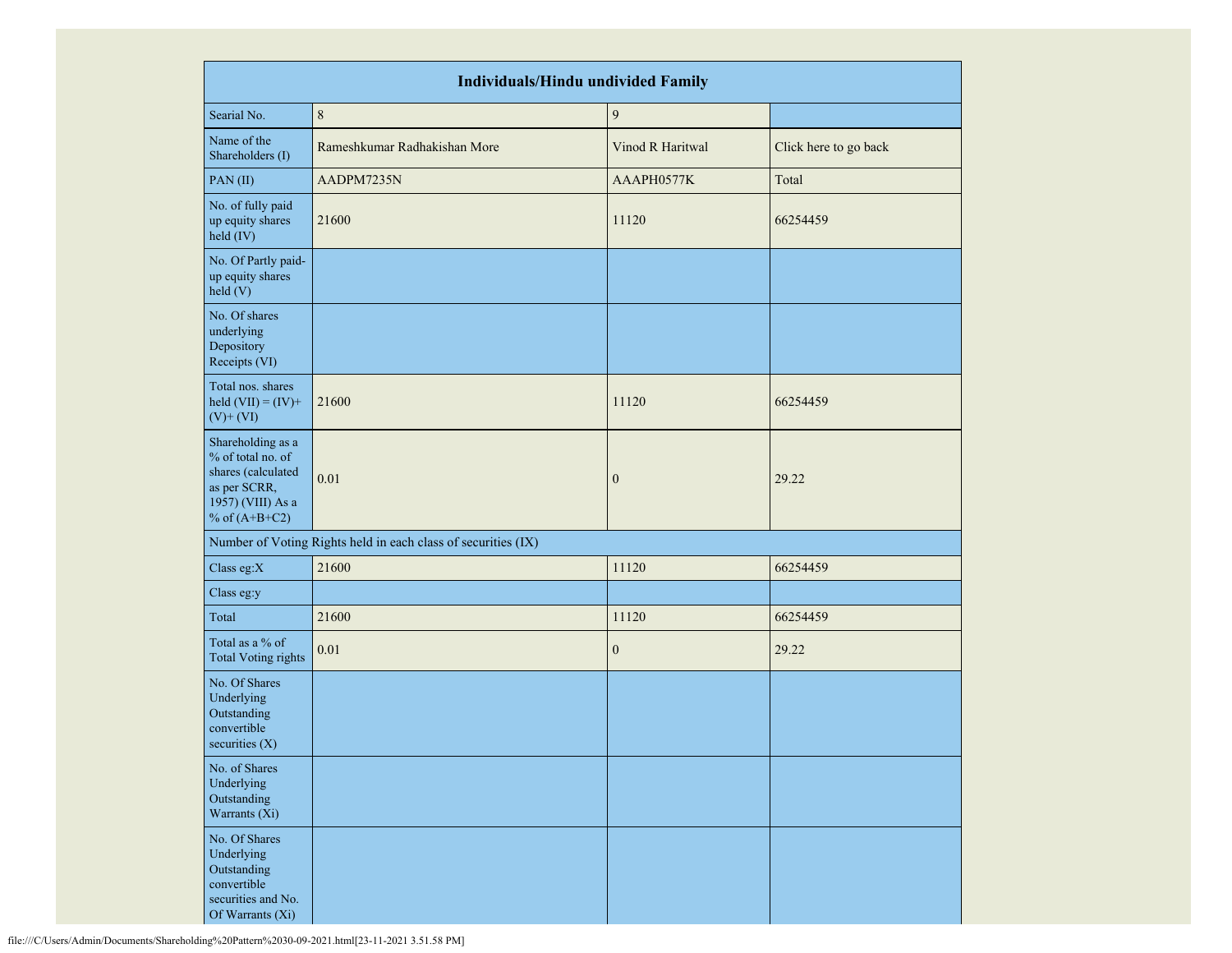|                                                                                                                      | <b>Individuals/Hindu undivided Family</b>                     |                  |                       |  |  |  |  |  |  |  |
|----------------------------------------------------------------------------------------------------------------------|---------------------------------------------------------------|------------------|-----------------------|--|--|--|--|--|--|--|
| Searial No.                                                                                                          | $\,8\,$                                                       | $\boldsymbol{9}$ |                       |  |  |  |  |  |  |  |
| Name of the<br>Shareholders (I)                                                                                      | Rameshkumar Radhakishan More                                  | Vinod R Haritwal | Click here to go back |  |  |  |  |  |  |  |
| PAN(II)                                                                                                              | AADPM7235N                                                    | AAAPH0577K       | Total                 |  |  |  |  |  |  |  |
| No. of fully paid<br>up equity shares<br>$held$ (IV)                                                                 | 21600                                                         | 11120            | 66254459              |  |  |  |  |  |  |  |
| No. Of Partly paid-<br>up equity shares<br>held (V)                                                                  |                                                               |                  |                       |  |  |  |  |  |  |  |
| No. Of shares<br>underlying<br>Depository<br>Receipts (VI)                                                           |                                                               |                  |                       |  |  |  |  |  |  |  |
| Total nos. shares<br>held $(VII) = (IV) +$<br>$(V)$ + $(VI)$                                                         | 21600                                                         | 11120            | 66254459              |  |  |  |  |  |  |  |
| Shareholding as a<br>% of total no. of<br>shares (calculated<br>as per SCRR,<br>1957) (VIII) As a<br>% of $(A+B+C2)$ | 0.01                                                          | $\mathbf{0}$     | 29.22                 |  |  |  |  |  |  |  |
|                                                                                                                      | Number of Voting Rights held in each class of securities (IX) |                  |                       |  |  |  |  |  |  |  |
| Class eg:X                                                                                                           | 21600                                                         | 11120            | 66254459              |  |  |  |  |  |  |  |
| Class eg:y                                                                                                           |                                                               |                  |                       |  |  |  |  |  |  |  |
| Total                                                                                                                | 21600                                                         | 11120            | 66254459              |  |  |  |  |  |  |  |
| Total as a % of<br><b>Total Voting rights</b>                                                                        | 0.01                                                          | $\mathbf{0}$     | 29.22                 |  |  |  |  |  |  |  |
| No. Of Shares<br>Underlying<br>Outstanding<br>convertible<br>securities $(X)$                                        |                                                               |                  |                       |  |  |  |  |  |  |  |
| No. of Shares<br>Underlying<br>Outstanding<br>Warrants (Xi)                                                          |                                                               |                  |                       |  |  |  |  |  |  |  |
| No. Of Shares<br>Underlying<br>Outstanding<br>convertible<br>securities and No.<br>Of Warrants (Xi)                  |                                                               |                  |                       |  |  |  |  |  |  |  |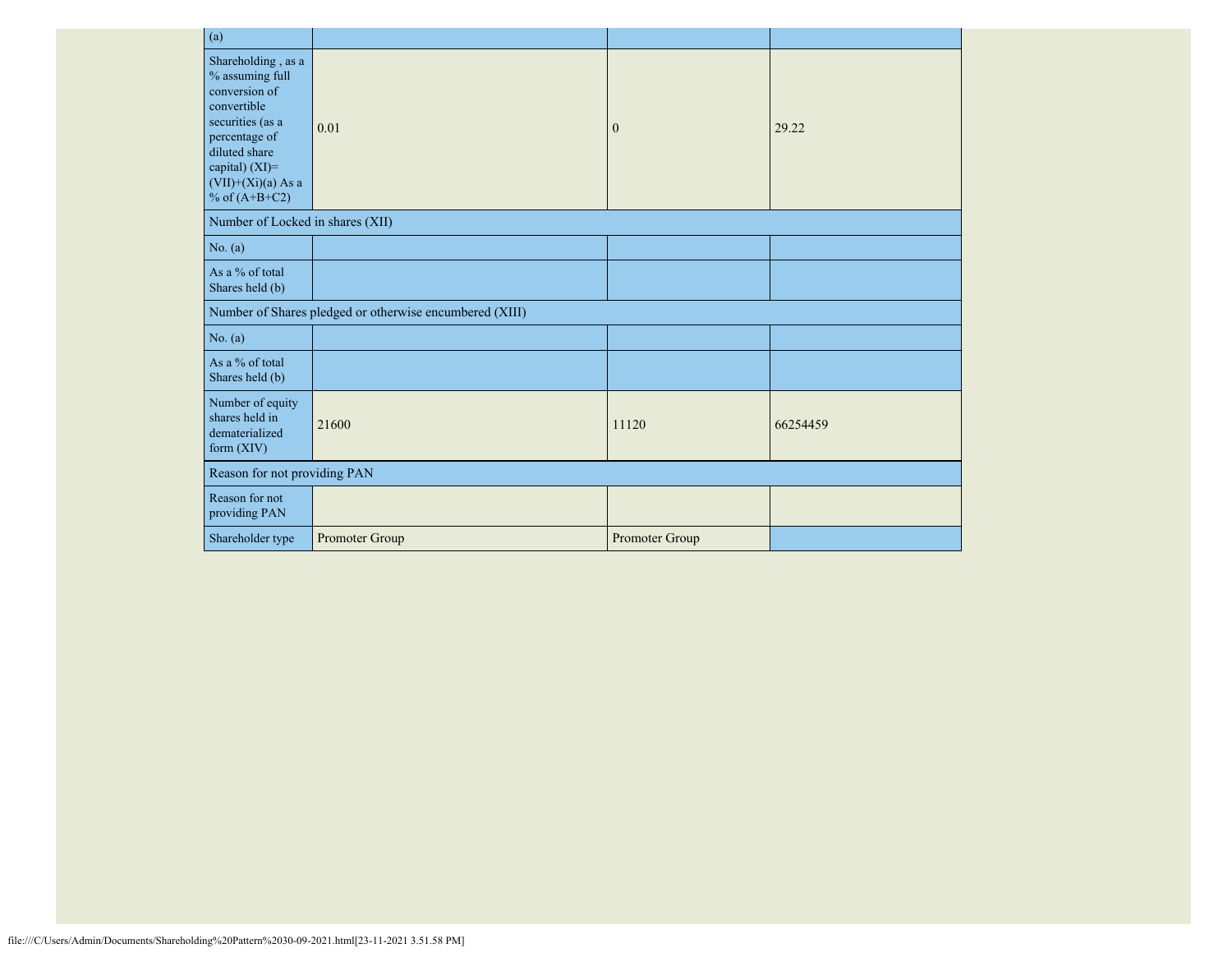| (a)                                                                                                                                                                                      |                                                         |                |          |
|------------------------------------------------------------------------------------------------------------------------------------------------------------------------------------------|---------------------------------------------------------|----------------|----------|
| Shareholding, as a<br>% assuming full<br>conversion of<br>convertible<br>securities (as a<br>percentage of<br>diluted share<br>capital) (XI)=<br>$(VII)+(Xi)(a)$ As a<br>% of $(A+B+C2)$ | 0.01                                                    | $\mathbf{0}$   | 29.22    |
| Number of Locked in shares (XII)                                                                                                                                                         |                                                         |                |          |
| No. (a)                                                                                                                                                                                  |                                                         |                |          |
| As a % of total<br>Shares held (b)                                                                                                                                                       |                                                         |                |          |
|                                                                                                                                                                                          | Number of Shares pledged or otherwise encumbered (XIII) |                |          |
| No. (a)                                                                                                                                                                                  |                                                         |                |          |
| As a % of total<br>Shares held (b)                                                                                                                                                       |                                                         |                |          |
| Number of equity<br>shares held in<br>dematerialized<br>form $(XIV)$                                                                                                                     | 21600                                                   | 11120          | 66254459 |
| Reason for not providing PAN                                                                                                                                                             |                                                         |                |          |
| Reason for not<br>providing PAN                                                                                                                                                          |                                                         |                |          |
| Shareholder type                                                                                                                                                                         | Promoter Group                                          | Promoter Group |          |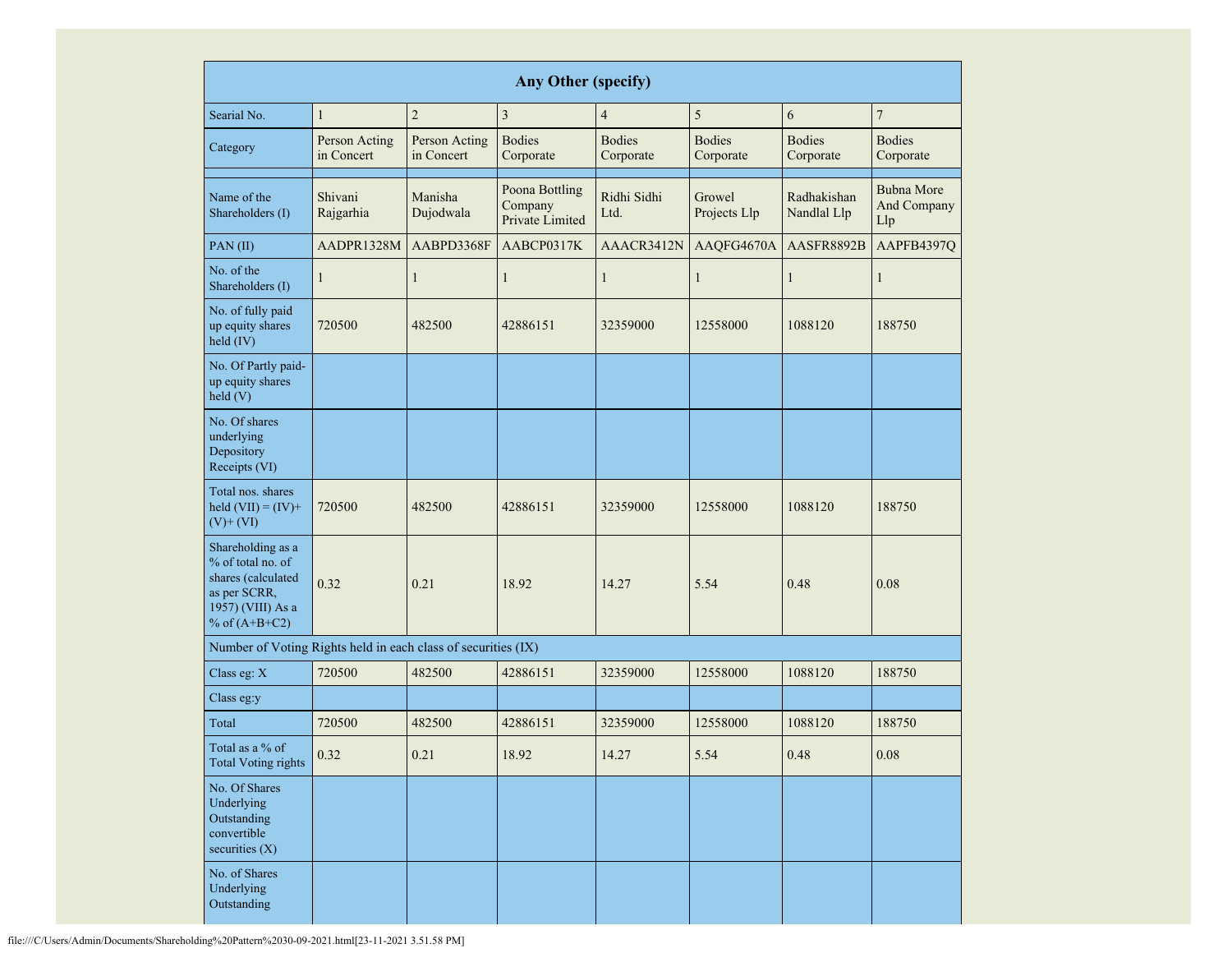|                                                                                                                      | Any Other (specify)         |                             |                                              |                            |                                                          |                            |                                         |  |  |  |  |  |
|----------------------------------------------------------------------------------------------------------------------|-----------------------------|-----------------------------|----------------------------------------------|----------------------------|----------------------------------------------------------|----------------------------|-----------------------------------------|--|--|--|--|--|
| Searial No.                                                                                                          | $\mathbf{1}$                | $\overline{c}$              | $\mathfrak{Z}$                               | $\overline{\mathcal{A}}$   | 5                                                        | 6                          | $\overline{7}$                          |  |  |  |  |  |
| Category                                                                                                             | Person Acting<br>in Concert | Person Acting<br>in Concert | <b>Bodies</b><br>Corporate                   | <b>Bodies</b><br>Corporate | <b>Bodies</b><br><b>Bodies</b><br>Corporate<br>Corporate |                            | <b>Bodies</b><br>Corporate              |  |  |  |  |  |
| Name of the<br>Shareholders (I)                                                                                      | Shivani<br>Rajgarhia        | Manisha<br>Dujodwala        | Poona Bottling<br>Company<br>Private Limited | Ridhi Sidhi<br>Ltd.        | Growel<br>Projects Llp                                   | Radhakishan<br>Nandlal Llp | <b>Bubna More</b><br>And Company<br>Llp |  |  |  |  |  |
| PAN(II)                                                                                                              | AADPR1328M                  | AABPD3368F                  | AABCP0317K                                   | AAACR3412N                 | AAQFG4670A                                               | AASFR8892B                 | AAPFB4397Q                              |  |  |  |  |  |
| No. of the<br>Shareholders (I)                                                                                       | $\mathbf{1}$                | 1                           | $\mathbf{1}$                                 | $\mathbf{1}$               | $\mathbf{1}$                                             | $\mathbf{1}$               | 1                                       |  |  |  |  |  |
| No. of fully paid<br>up equity shares<br>held (IV)                                                                   | 720500                      | 482500                      | 42886151                                     | 32359000                   | 12558000                                                 | 1088120                    | 188750                                  |  |  |  |  |  |
| No. Of Partly paid-<br>up equity shares<br>held(V)                                                                   |                             |                             |                                              |                            |                                                          |                            |                                         |  |  |  |  |  |
| No. Of shares<br>underlying<br>Depository<br>Receipts (VI)                                                           |                             |                             |                                              |                            |                                                          |                            |                                         |  |  |  |  |  |
| Total nos. shares<br>held $(VII) = (IV) +$<br>$(V)$ + $(VI)$                                                         | 482500<br>720500            |                             | 42886151                                     | 32359000                   | 12558000                                                 | 1088120                    | 188750                                  |  |  |  |  |  |
| Shareholding as a<br>% of total no. of<br>shares (calculated<br>as per SCRR,<br>1957) (VIII) As a<br>% of $(A+B+C2)$ | 0.32                        |                             | 18.92                                        | 14.27                      | 5.54                                                     | 0.48                       | 0.08                                    |  |  |  |  |  |
| Number of Voting Rights held in each class of securities (IX)                                                        |                             |                             |                                              |                            |                                                          |                            |                                         |  |  |  |  |  |
| Class eg: X                                                                                                          | 720500                      | 482500                      | 42886151                                     | 32359000                   | 12558000                                                 | 1088120                    | 188750                                  |  |  |  |  |  |
| Class eg:y                                                                                                           |                             |                             |                                              |                            |                                                          |                            |                                         |  |  |  |  |  |
| Total                                                                                                                | 720500                      | 482500                      | 42886151                                     | 32359000                   | 12558000                                                 | 1088120                    | 188750                                  |  |  |  |  |  |
| Total as a % of<br><b>Total Voting rights</b>                                                                        | 0.32                        | 0.21                        | 18.92                                        | 14.27                      | 5.54                                                     | 0.48                       | $0.08\,$                                |  |  |  |  |  |
| No. Of Shares<br>Underlying<br>Outstanding<br>convertible<br>securities (X)                                          |                             |                             |                                              |                            |                                                          |                            |                                         |  |  |  |  |  |
| No. of Shares<br>Underlying<br>Outstanding                                                                           |                             |                             |                                              |                            |                                                          |                            |                                         |  |  |  |  |  |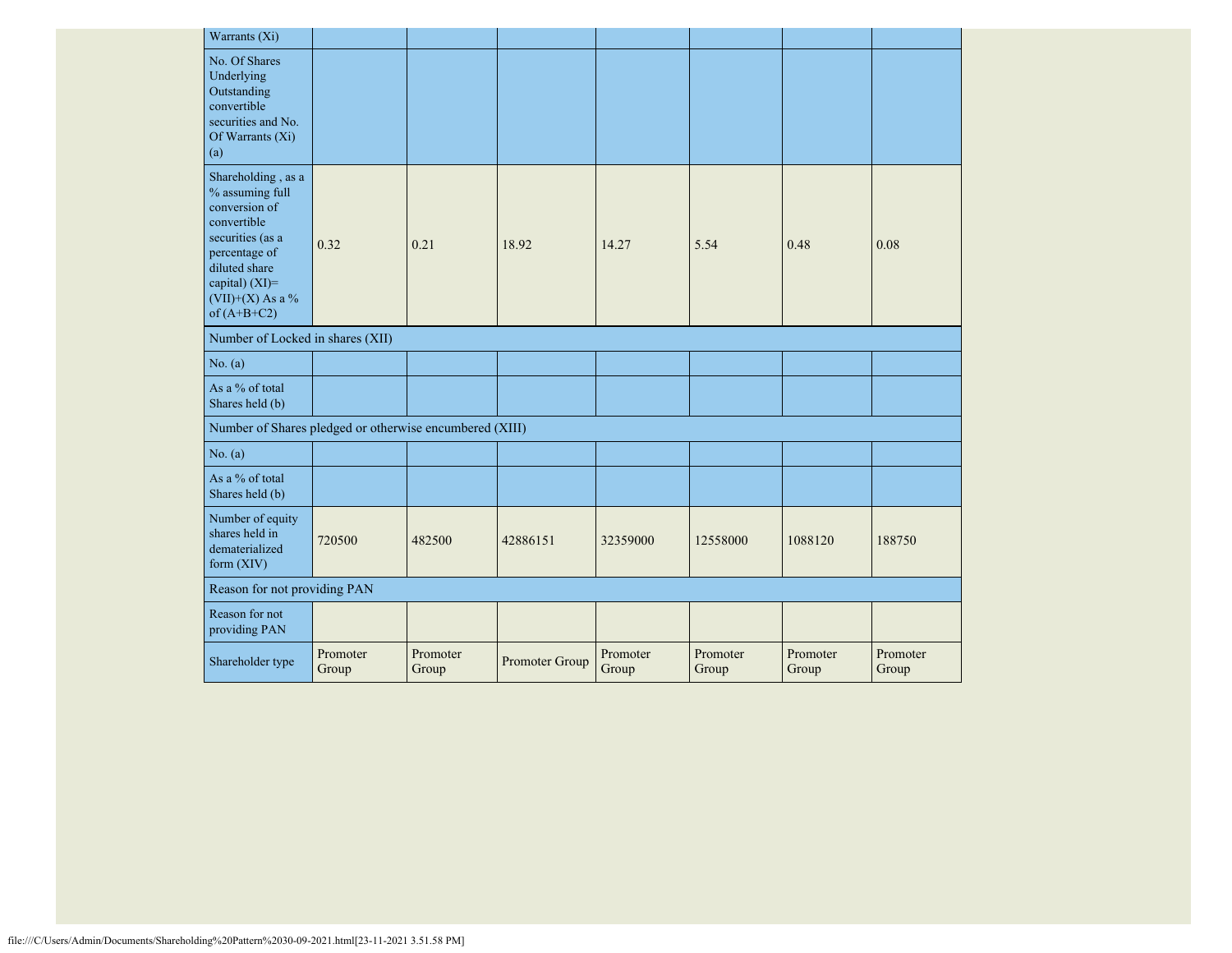| Warrants (Xi)                                                                                                                                                                      |                   |                   |                |                   |                   |                   |                   |
|------------------------------------------------------------------------------------------------------------------------------------------------------------------------------------|-------------------|-------------------|----------------|-------------------|-------------------|-------------------|-------------------|
| No. Of Shares<br>Underlying<br>Outstanding<br>convertible<br>securities and No.<br>Of Warrants (Xi)<br>(a)                                                                         |                   |                   |                |                   |                   |                   |                   |
| Shareholding, as a<br>% assuming full<br>conversion of<br>convertible<br>securities (as a<br>percentage of<br>diluted share<br>capital) (XI)=<br>(VII)+(X) As a %<br>of $(A+B+C2)$ | 0.32              | 0.21              | 18.92          | 14.27             | 5.54              | 0.48              | 0.08              |
| Number of Locked in shares (XII)                                                                                                                                                   |                   |                   |                |                   |                   |                   |                   |
| No. (a)                                                                                                                                                                            |                   |                   |                |                   |                   |                   |                   |
| As a % of total<br>Shares held (b)                                                                                                                                                 |                   |                   |                |                   |                   |                   |                   |
| Number of Shares pledged or otherwise encumbered (XIII)                                                                                                                            |                   |                   |                |                   |                   |                   |                   |
| No. $(a)$                                                                                                                                                                          |                   |                   |                |                   |                   |                   |                   |
| As a % of total<br>Shares held (b)                                                                                                                                                 |                   |                   |                |                   |                   |                   |                   |
| Number of equity<br>shares held in<br>dematerialized<br>form $(XIV)$                                                                                                               | 720500            | 482500            | 42886151       | 32359000          | 12558000          | 1088120           | 188750            |
| Reason for not providing PAN                                                                                                                                                       |                   |                   |                |                   |                   |                   |                   |
| Reason for not<br>providing PAN                                                                                                                                                    |                   |                   |                |                   |                   |                   |                   |
| Shareholder type                                                                                                                                                                   | Promoter<br>Group | Promoter<br>Group | Promoter Group | Promoter<br>Group | Promoter<br>Group | Promoter<br>Group | Promoter<br>Group |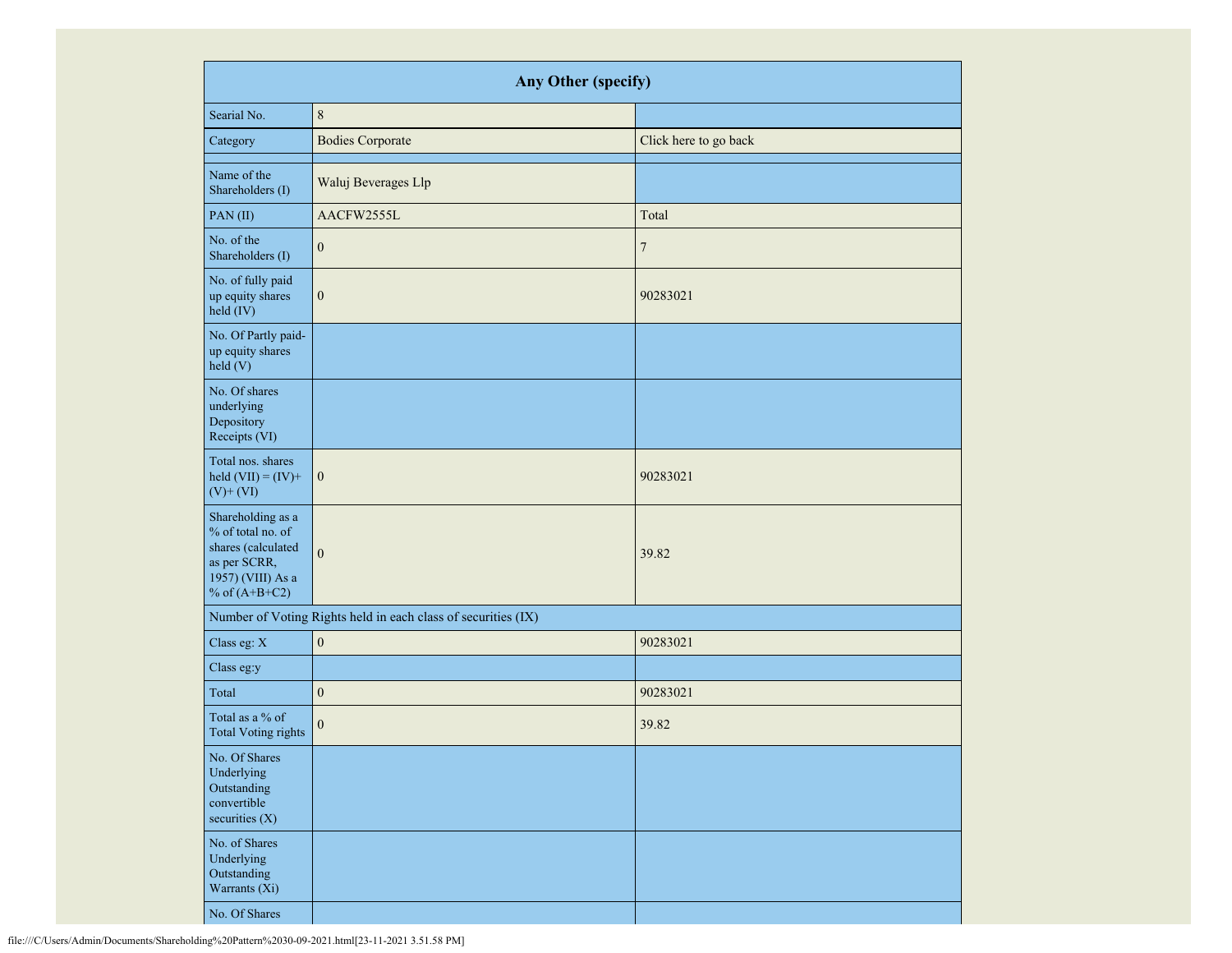|                                                                                                                      | Any Other (specify)                                           |                       |
|----------------------------------------------------------------------------------------------------------------------|---------------------------------------------------------------|-----------------------|
| Searial No.                                                                                                          | $\,8\,$                                                       |                       |
| Category                                                                                                             | <b>Bodies Corporate</b>                                       | Click here to go back |
| Name of the<br>Shareholders (I)                                                                                      | Waluj Beverages Llp                                           |                       |
| PAN(II)                                                                                                              | AACFW2555L                                                    | Total                 |
| No. of the<br>Shareholders (I)                                                                                       | $\mathbf{0}$                                                  | $\tau$                |
| No. of fully paid<br>up equity shares<br>held (IV)                                                                   | $\boldsymbol{0}$                                              | 90283021              |
| No. Of Partly paid-<br>up equity shares<br>held (V)                                                                  |                                                               |                       |
| No. Of shares<br>underlying<br>Depository<br>Receipts (VI)                                                           |                                                               |                       |
| Total nos. shares<br>held $(VII) = (IV) +$<br>$(V)$ + $(VI)$                                                         | $\boldsymbol{0}$                                              | 90283021              |
| Shareholding as a<br>% of total no. of<br>shares (calculated<br>as per SCRR,<br>1957) (VIII) As a<br>% of $(A+B+C2)$ | $\mathbf{0}$                                                  | 39.82                 |
|                                                                                                                      | Number of Voting Rights held in each class of securities (IX) |                       |
| Class eg: X                                                                                                          | $\boldsymbol{0}$                                              | 90283021              |
| Class eg:y                                                                                                           |                                                               |                       |
| Total                                                                                                                | $\boldsymbol{0}$                                              | 90283021              |
| Total as a % of<br><b>Total Voting rights</b>                                                                        | $\boldsymbol{0}$                                              | 39.82                 |
| No. Of Shares<br>Underlying<br>Outstanding<br>convertible<br>securities $(X)$                                        |                                                               |                       |
| No. of Shares<br>Underlying<br>Outstanding<br>Warrants (Xi)                                                          |                                                               |                       |
| No. Of Shares                                                                                                        |                                                               |                       |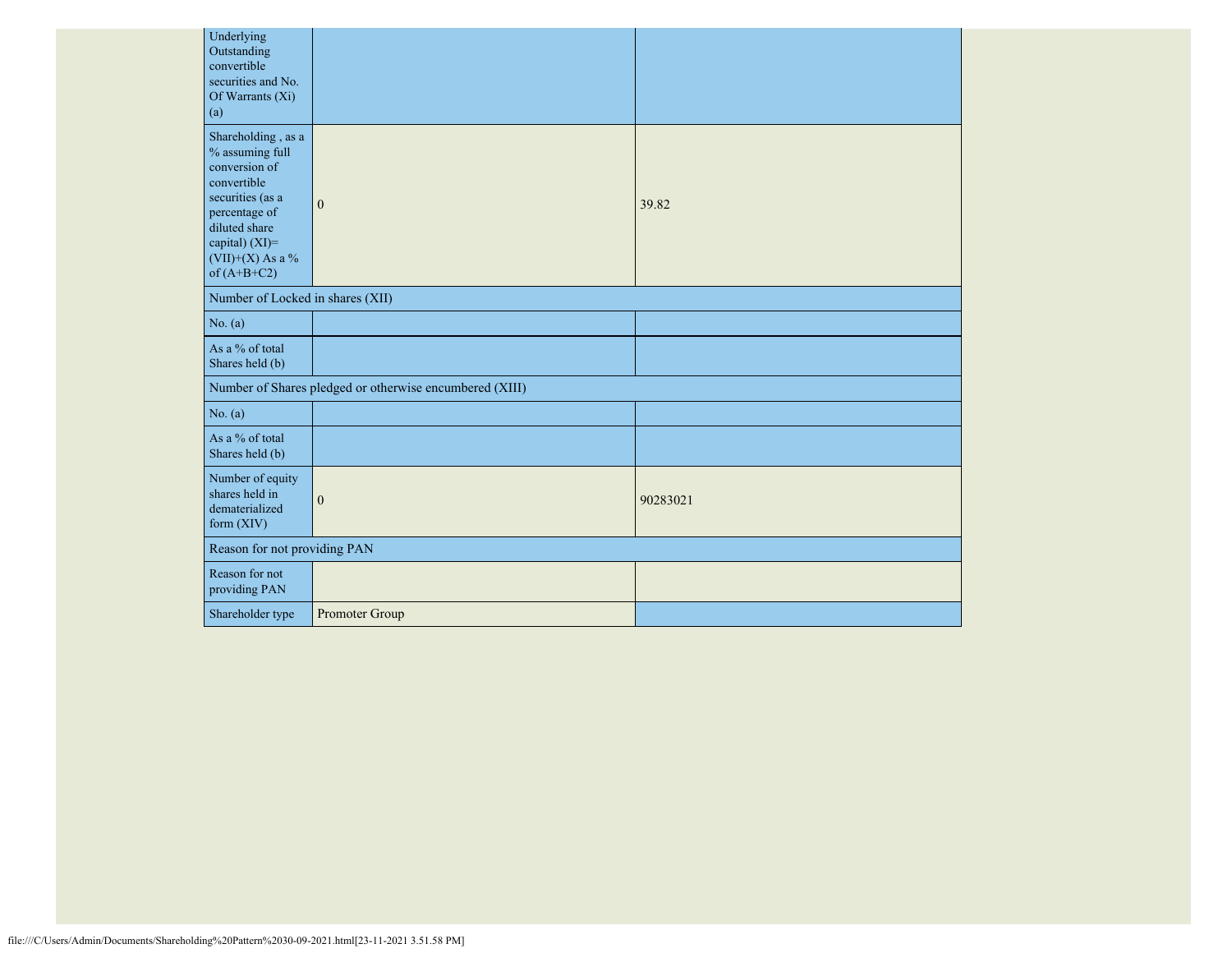| Underlying<br>Outstanding<br>convertible<br>securities and No.<br>Of Warrants (Xi)<br>(a)                                                                                            |                                                         |          |  |  |  |  |  |  |
|--------------------------------------------------------------------------------------------------------------------------------------------------------------------------------------|---------------------------------------------------------|----------|--|--|--|--|--|--|
| Shareholding, as a<br>% assuming full<br>conversion of<br>convertible<br>securities (as a<br>percentage of<br>diluted share<br>capital) (XI)=<br>$(VII)+(X)$ As a %<br>of $(A+B+C2)$ | $\mathbf{0}$                                            | 39.82    |  |  |  |  |  |  |
| Number of Locked in shares (XII)                                                                                                                                                     |                                                         |          |  |  |  |  |  |  |
| No. (a)                                                                                                                                                                              |                                                         |          |  |  |  |  |  |  |
| As a % of total<br>Shares held (b)                                                                                                                                                   |                                                         |          |  |  |  |  |  |  |
|                                                                                                                                                                                      | Number of Shares pledged or otherwise encumbered (XIII) |          |  |  |  |  |  |  |
| No. (a)                                                                                                                                                                              |                                                         |          |  |  |  |  |  |  |
| As a % of total<br>Shares held (b)                                                                                                                                                   |                                                         |          |  |  |  |  |  |  |
| Number of equity<br>shares held in<br>dematerialized<br>form (XIV)                                                                                                                   | $\mathbf{0}$                                            | 90283021 |  |  |  |  |  |  |
| Reason for not providing PAN                                                                                                                                                         |                                                         |          |  |  |  |  |  |  |
| Reason for not<br>providing PAN                                                                                                                                                      |                                                         |          |  |  |  |  |  |  |
| Shareholder type                                                                                                                                                                     | Promoter Group                                          |          |  |  |  |  |  |  |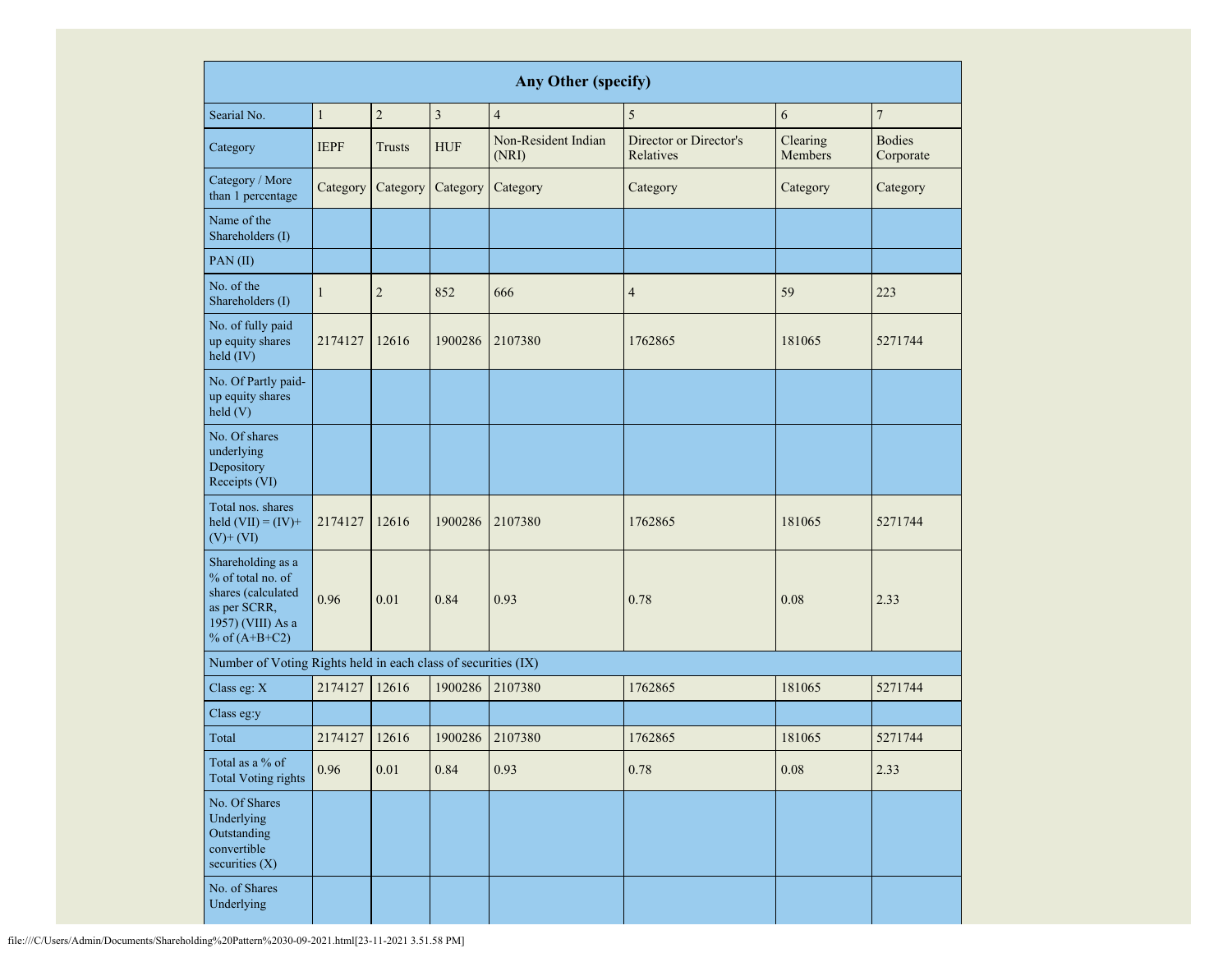|                                                                                                                      | <b>Any Other (specify)</b> |                |            |                              |                                     |                     |                            |  |  |  |  |  |
|----------------------------------------------------------------------------------------------------------------------|----------------------------|----------------|------------|------------------------------|-------------------------------------|---------------------|----------------------------|--|--|--|--|--|
| Searial No.                                                                                                          | $\mathbf{1}$               | $\overline{2}$ | 3          | $\overline{4}$               | 5                                   | 6                   | $\boldsymbol{7}$           |  |  |  |  |  |
| Category                                                                                                             | <b>IEPF</b>                | <b>Trusts</b>  | <b>HUF</b> | Non-Resident Indian<br>(NRI) | Director or Director's<br>Relatives | Clearing<br>Members | <b>Bodies</b><br>Corporate |  |  |  |  |  |
| Category / More<br>than 1 percentage                                                                                 | Category                   | Category       | Category   | Category                     | Category                            | Category            | Category                   |  |  |  |  |  |
| Name of the<br>Shareholders (I)                                                                                      |                            |                |            |                              |                                     |                     |                            |  |  |  |  |  |
| PAN(II)                                                                                                              |                            |                |            |                              |                                     |                     |                            |  |  |  |  |  |
| No. of the<br>Shareholders (I)                                                                                       | $\mathbf{1}$               | $\overline{2}$ | 852        | 666                          | $\overline{4}$                      | 59                  | 223                        |  |  |  |  |  |
| No. of fully paid<br>up equity shares<br>held (IV)                                                                   | 2174127                    | 12616          | 1900286    | 2107380                      | 1762865                             | 181065              | 5271744                    |  |  |  |  |  |
| No. Of Partly paid-<br>up equity shares<br>held(V)                                                                   |                            |                |            |                              |                                     |                     |                            |  |  |  |  |  |
| No. Of shares<br>underlying<br>Depository<br>Receipts (VI)                                                           |                            |                |            |                              |                                     |                     |                            |  |  |  |  |  |
| Total nos. shares<br>held $(VII) = (IV) +$<br>$(V)$ + $(VI)$                                                         | 2174127                    | 12616          | 1900286    | 2107380                      | 1762865                             | 181065              | 5271744                    |  |  |  |  |  |
| Shareholding as a<br>% of total no. of<br>shares (calculated<br>as per SCRR,<br>1957) (VIII) As a<br>% of $(A+B+C2)$ | 0.96                       | 0.01           | 0.84       | 0.93                         | 0.78                                | 0.08                | 2.33                       |  |  |  |  |  |
| Number of Voting Rights held in each class of securities (IX)                                                        |                            |                |            |                              |                                     |                     |                            |  |  |  |  |  |
| Class eg: X                                                                                                          | 2174127                    | 12616          | 1900286    | 2107380                      | 1762865                             | 181065              | 5271744                    |  |  |  |  |  |
| Class eg:y                                                                                                           |                            |                |            |                              |                                     |                     |                            |  |  |  |  |  |
| Total                                                                                                                | 2174127                    | 12616          | 1900286    | 2107380                      | 1762865                             | 181065              | 5271744                    |  |  |  |  |  |
| Total as a % of<br><b>Total Voting rights</b>                                                                        | 0.96                       | 0.01           | 0.84       | 0.93                         | 0.78                                | 0.08                | 2.33                       |  |  |  |  |  |
| No. Of Shares<br>Underlying<br>Outstanding<br>convertible<br>securities $(X)$                                        |                            |                |            |                              |                                     |                     |                            |  |  |  |  |  |
| No. of Shares<br>Underlying                                                                                          |                            |                |            |                              |                                     |                     |                            |  |  |  |  |  |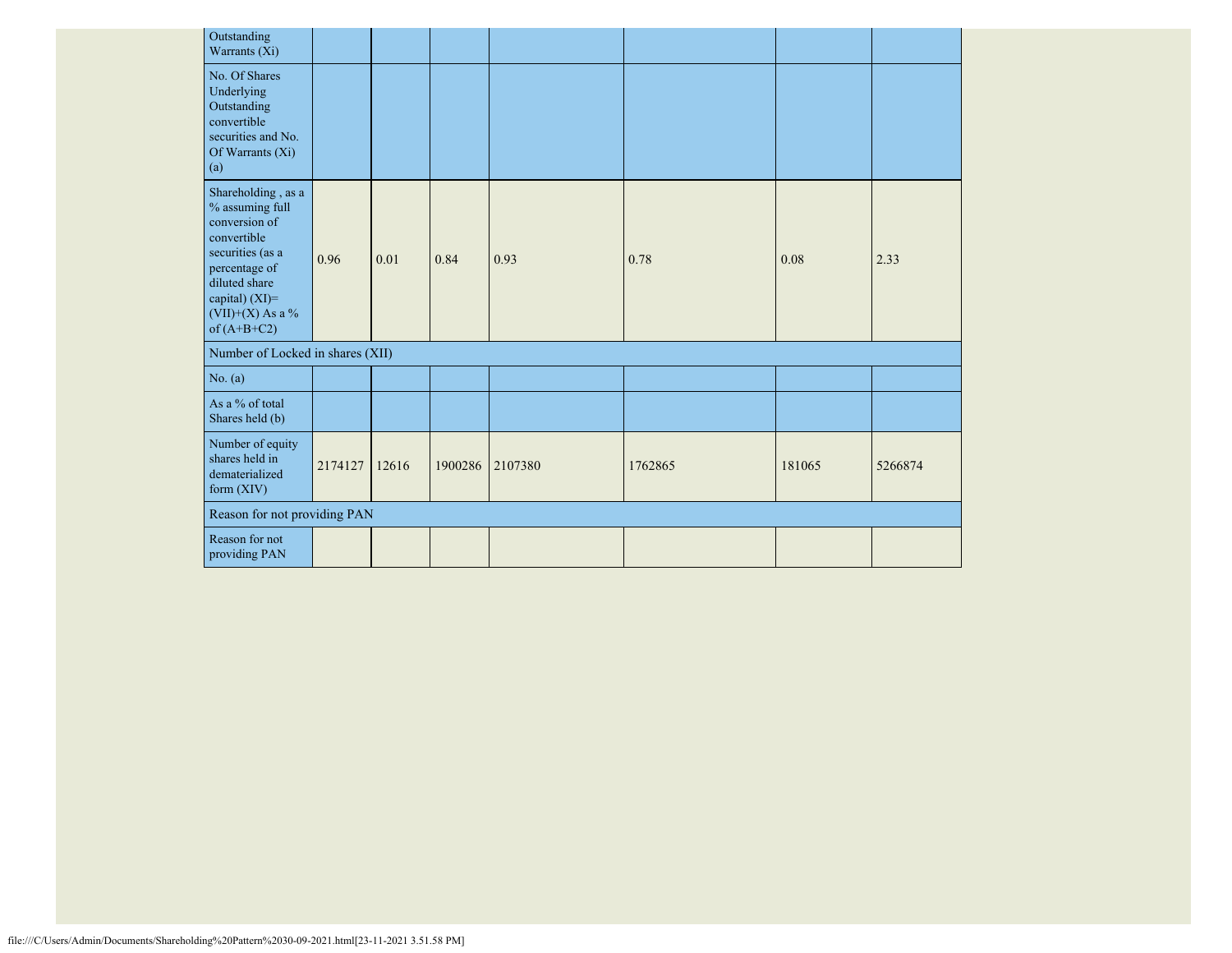| Outstanding<br>Warrants (Xi)                                                                                                                                                            |         |       |         |         |         |        |         |
|-----------------------------------------------------------------------------------------------------------------------------------------------------------------------------------------|---------|-------|---------|---------|---------|--------|---------|
| No. Of Shares<br>Underlying<br>Outstanding<br>convertible<br>securities and No.<br>Of Warrants (Xi)<br>(a)                                                                              |         |       |         |         |         |        |         |
| Shareholding, as a<br>$\%$ assuming full<br>conversion of<br>convertible<br>securities (as a<br>percentage of<br>diluted share<br>capital) $(XI)=$<br>(VII)+(X) As a %<br>of $(A+B+C2)$ | 0.96    | 0.01  | 0.84    | 0.93    | 0.78    | 0.08   | 2.33    |
| Number of Locked in shares (XII)                                                                                                                                                        |         |       |         |         |         |        |         |
| No. (a)                                                                                                                                                                                 |         |       |         |         |         |        |         |
| As a % of total<br>Shares held (b)                                                                                                                                                      |         |       |         |         |         |        |         |
| Number of equity<br>shares held in<br>dematerialized<br>form $(XIV)$                                                                                                                    | 2174127 | 12616 | 1900286 | 2107380 | 1762865 | 181065 | 5266874 |
| Reason for not providing PAN                                                                                                                                                            |         |       |         |         |         |        |         |
| Reason for not<br>providing PAN                                                                                                                                                         |         |       |         |         |         |        |         |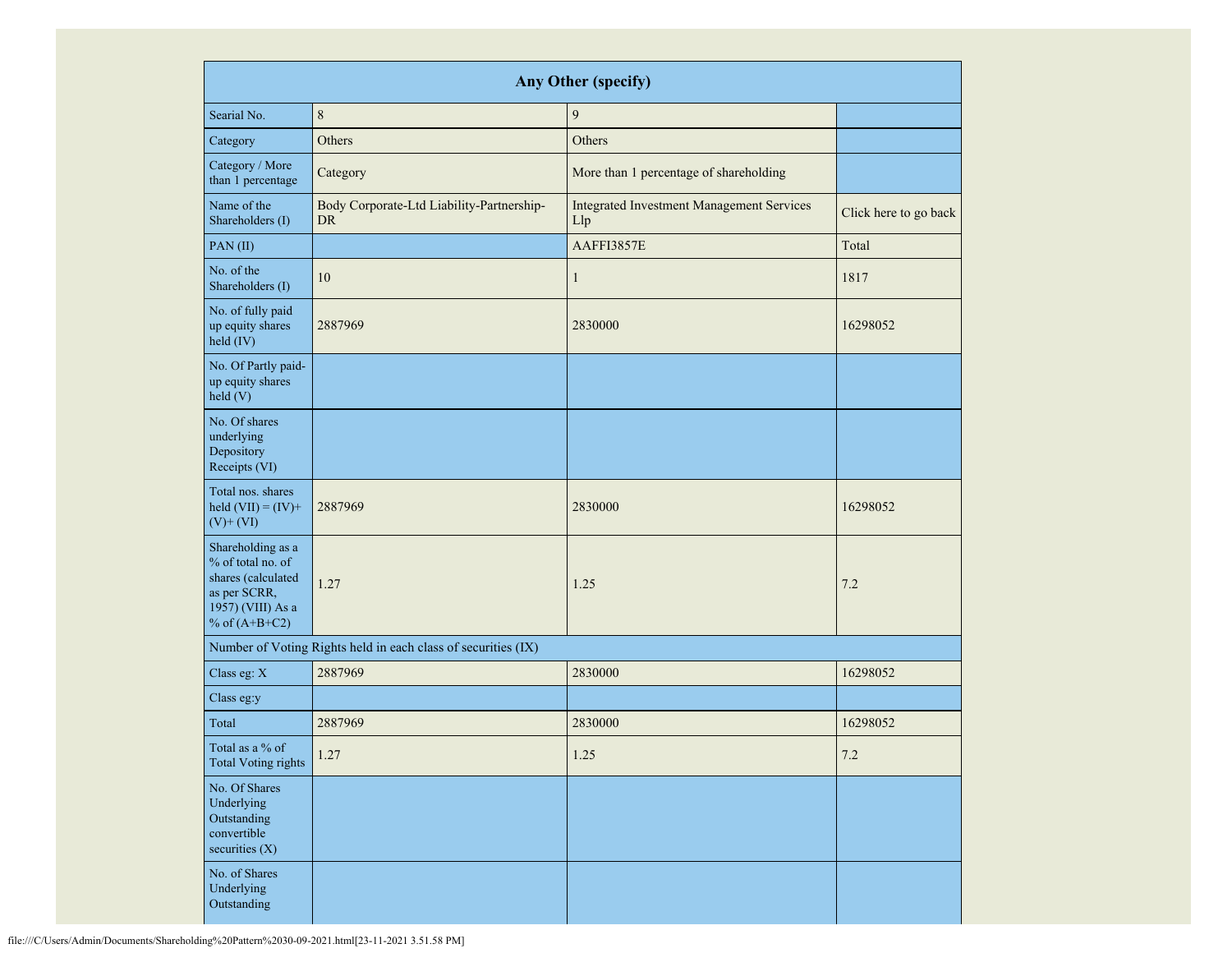|                                                                                                                      |                                                               | <b>Any Other (specify)</b>                              |                       |
|----------------------------------------------------------------------------------------------------------------------|---------------------------------------------------------------|---------------------------------------------------------|-----------------------|
| Searial No.                                                                                                          | $\,8\,$                                                       | $\overline{9}$                                          |                       |
| Category                                                                                                             | Others                                                        | Others                                                  |                       |
| Category / More<br>than 1 percentage                                                                                 | Category                                                      | More than 1 percentage of shareholding                  |                       |
| Name of the<br>Shareholders (I)                                                                                      | Body Corporate-Ltd Liability-Partnership-<br><b>DR</b>        | <b>Integrated Investment Management Services</b><br>Llp | Click here to go back |
| PAN(II)                                                                                                              |                                                               | AAFFI3857E                                              | Total                 |
| No. of the<br>Shareholders (I)                                                                                       | 10                                                            | $\mathbf{1}$                                            | 1817                  |
| No. of fully paid<br>up equity shares<br>held (IV)                                                                   | 2887969                                                       | 2830000                                                 | 16298052              |
| No. Of Partly paid-<br>up equity shares<br>held(V)                                                                   |                                                               |                                                         |                       |
| No. Of shares<br>underlying<br>Depository<br>Receipts (VI)                                                           |                                                               |                                                         |                       |
| Total nos. shares<br>held $(VII) = (IV) +$<br>$(V)$ + $(VI)$                                                         | 2887969                                                       | 2830000                                                 | 16298052              |
| Shareholding as a<br>% of total no. of<br>shares (calculated<br>as per SCRR,<br>1957) (VIII) As a<br>% of $(A+B+C2)$ | 1.27                                                          | 1.25                                                    | 7.2                   |
|                                                                                                                      | Number of Voting Rights held in each class of securities (IX) |                                                         |                       |
| Class eg: $X$                                                                                                        | 2887969                                                       | 2830000                                                 | 16298052              |
| Class eg:y                                                                                                           |                                                               |                                                         |                       |
| Total                                                                                                                | 2887969                                                       | 2830000                                                 | 16298052              |
| Total as a % of<br><b>Total Voting rights</b>                                                                        | 1.27                                                          | 1.25                                                    | $7.2\,$               |
| No. Of Shares<br>Underlying<br>Outstanding<br>convertible<br>securities (X)                                          |                                                               |                                                         |                       |
| No. of Shares<br>Underlying<br>Outstanding                                                                           |                                                               |                                                         |                       |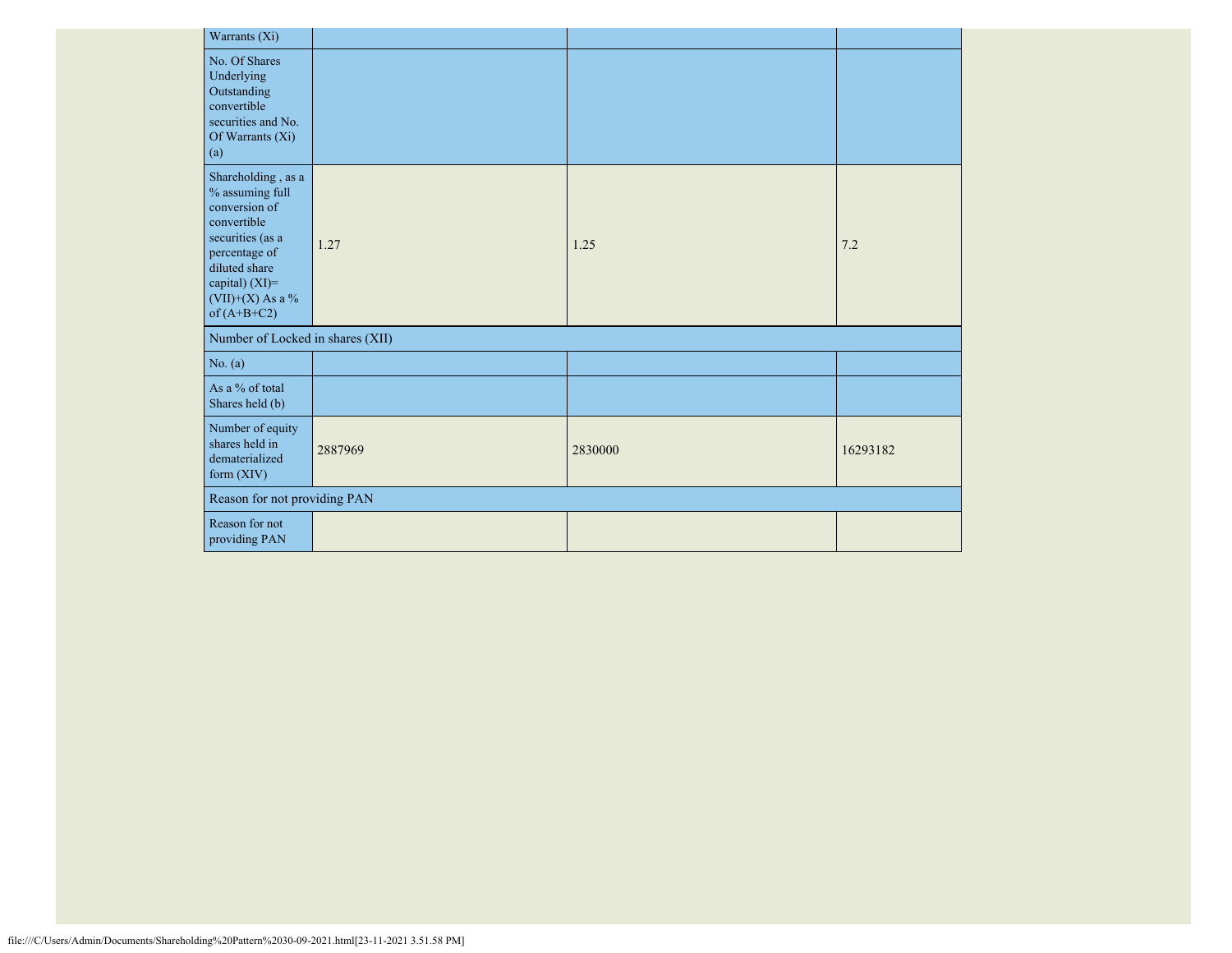|         | Warrants (Xi)                                                                                                                                                                        |                                  |         |          |
|---------|--------------------------------------------------------------------------------------------------------------------------------------------------------------------------------------|----------------------------------|---------|----------|
| (a)     | No. Of Shares<br>Underlying<br>Outstanding<br>convertible<br>securities and No.<br>Of Warrants (Xi)                                                                                  |                                  |         |          |
|         | Shareholding, as a<br>% assuming full<br>conversion of<br>convertible<br>securities (as a<br>percentage of<br>diluted share<br>capital) (XI)=<br>$(VII)+(X)$ As a %<br>of $(A+B+C2)$ | 1.27                             | 1.25    | 7.2      |
|         |                                                                                                                                                                                      | Number of Locked in shares (XII) |         |          |
| No. (a) |                                                                                                                                                                                      |                                  |         |          |
|         | As a % of total<br>Shares held (b)                                                                                                                                                   |                                  |         |          |
|         | Number of equity<br>shares held in<br>dematerialized<br>form (XIV)                                                                                                                   | 2887969                          | 2830000 | 16293182 |
|         | Reason for not providing PAN                                                                                                                                                         |                                  |         |          |
|         | Reason for not<br>providing PAN                                                                                                                                                      |                                  |         |          |